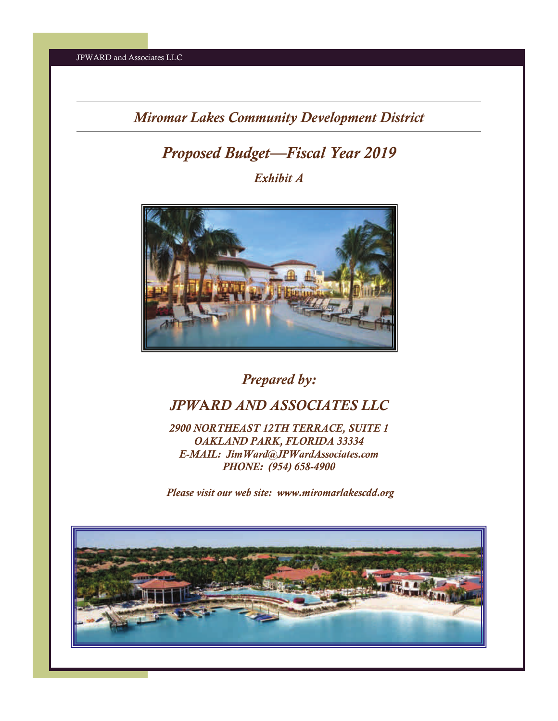# *Proposed Budget—Fiscal Year 2019*

*Exhibit A* 



*Prepared by:* 

## *JPW*A*RD AND ASSOCIATES LLC*

*2900 NORTHEAST 12TH TERRACE, SUITE 1 OAKLAND PARK, FLORIDA 33334 E-MAIL: JimWard@JPWardAssociates.com PHONE: (954) 658-4900* 

 *Please visit our web site: www.miromarlakescdd.org* 

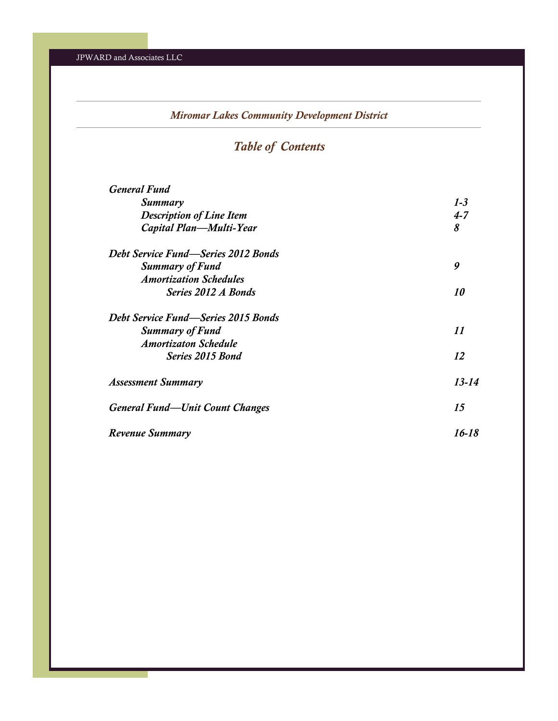## *Table of Contents*

| <b>General Fund</b>                    |           |
|----------------------------------------|-----------|
| Summary                                | $1 - 3$   |
| <b>Description of Line Item</b>        | $4 - 7$   |
| Capital Plan—Multi-Year                | 8         |
| Debt Service Fund—Series 2012 Bonds    |           |
| <b>Summary of Fund</b>                 | 9         |
| <b>Amortization Schedules</b>          |           |
| Series 2012 A Bonds                    | <i>10</i> |
| Debt Service Fund—Series 2015 Bonds    |           |
| <b>Summary of Fund</b>                 | 11        |
| <b>Amortizaton Schedule</b>            |           |
| Series 2015 Bond                       | 12        |
| <b>Assessment Summary</b>              | $13 - 14$ |
| <b>General Fund—Unit Count Changes</b> | 15        |
| Revenue Summary                        | 16-18     |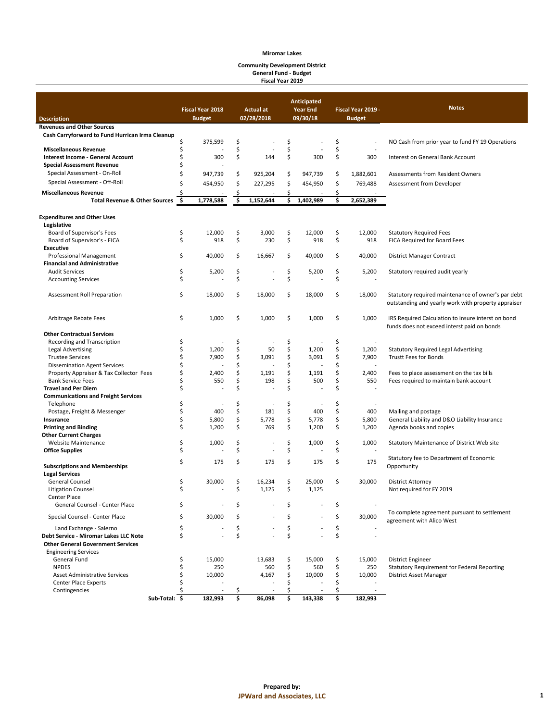#### **Community Development District General Fund - Budget Fiscal Year 2019**

|                                                 |               | <b>Fiscal Year 2018</b> |    | <b>Actual at</b> |    | <b>Anticipated</b><br><b>Year End</b> |    | Fiscal Year 2019 - | <b>Notes</b>                                                                                              |
|-------------------------------------------------|---------------|-------------------------|----|------------------|----|---------------------------------------|----|--------------------|-----------------------------------------------------------------------------------------------------------|
| <b>Description</b>                              |               | <b>Budget</b>           |    | 02/28/2018       |    | 09/30/18                              |    | <b>Budget</b>      |                                                                                                           |
| <b>Revenues and Other Sources</b>               |               |                         |    |                  |    |                                       |    |                    |                                                                                                           |
| Cash Carryforward to Fund Hurrican Irma Cleanup |               |                         |    |                  |    |                                       |    |                    |                                                                                                           |
|                                                 | \$            | 375,599                 | \$ |                  | \$ |                                       | \$ |                    | NO Cash from prior year to fund FY 19 Operations                                                          |
| <b>Miscellaneous Revenue</b>                    | \$            |                         | \$ |                  | \$ |                                       | \$ |                    |                                                                                                           |
| Interest Income - General Account               | \$            | 300                     | \$ | 144              | \$ | 300                                   | \$ | 300                | Interest on General Bank Account                                                                          |
| <b>Special Assessment Revenue</b>               | \$            |                         |    |                  |    |                                       |    |                    |                                                                                                           |
| Special Assessment - On-Roll                    | \$            |                         | \$ | 925,204          |    |                                       | \$ |                    |                                                                                                           |
|                                                 |               | 947,739                 |    |                  | \$ | 947,739                               |    | 1,882,601          | Assessments from Resident Owners                                                                          |
| Special Assessment - Off-Roll                   | Ś             | 454,950                 | \$ | 227,295          | \$ | 454,950                               | \$ | 769,488            | Assessment from Developer                                                                                 |
| <b>Miscellaneous Revenue</b>                    |               |                         | \$ |                  | \$ |                                       | \$ |                    |                                                                                                           |
| <b>Total Revenue &amp; Other Sources</b>        | \$.           | 1,778,588               | Ś  | 1,152,644        | \$ | 1,402,989                             | \$ | 2,652,389          |                                                                                                           |
| <b>Expenditures and Other Uses</b>              |               |                         |    |                  |    |                                       |    |                    |                                                                                                           |
| Legislative                                     |               |                         |    |                  |    |                                       |    |                    |                                                                                                           |
| Board of Supervisor's Fees                      | \$            | 12,000                  | \$ | 3,000            | \$ | 12,000                                | \$ | 12,000             | <b>Statutory Required Fees</b>                                                                            |
| Board of Supervisor's - FICA                    | \$            | 918                     | \$ | 230              | \$ | 918                                   | \$ | 918                | FICA Required for Board Fees                                                                              |
| <b>Executive</b>                                |               |                         |    |                  |    |                                       |    |                    |                                                                                                           |
| <b>Professional Management</b>                  | \$            | 40,000                  | \$ | 16,667           | \$ | 40,000                                | \$ | 40,000             | District Manager Contract                                                                                 |
| <b>Financial and Administrative</b>             |               |                         |    |                  |    |                                       |    |                    |                                                                                                           |
| <b>Audit Services</b>                           | \$            | 5,200                   | \$ |                  | \$ | 5,200                                 | \$ | 5,200              | Statutory required audit yearly                                                                           |
| <b>Accounting Services</b>                      | \$            |                         | \$ |                  | \$ |                                       | \$ |                    |                                                                                                           |
| Assessment Roll Preparation                     | \$            | 18,000                  | \$ | 18,000           | \$ | 18,000                                | \$ | 18,000             | Statutory required maintenance of owner's par debt<br>outstanding and yearly work with property appraiser |
| Arbitrage Rebate Fees                           | \$            | 1,000                   | \$ | 1,000            | \$ | 1,000                                 | \$ | 1,000              | IRS Required Calculation to insure interst on bond<br>funds does not exceed interst paid on bonds         |
| <b>Other Contractual Services</b>               |               |                         |    |                  |    |                                       |    |                    |                                                                                                           |
| Recording and Transcription                     | \$            |                         | \$ |                  | \$ |                                       | \$ |                    |                                                                                                           |
| <b>Legal Advertising</b>                        | \$            | 1,200                   | \$ | 50               | \$ | 1,200                                 | \$ | 1,200              |                                                                                                           |
| <b>Trustee Services</b>                         |               |                         | \$ | 3,091            | \$ |                                       | \$ | 7,900              | <b>Statutory Required Legal Advertising</b><br><b>Trustt Fees for Bonds</b>                               |
|                                                 | \$<br>\$      | 7,900                   | \$ |                  | \$ | 3,091                                 | \$ |                    |                                                                                                           |
| <b>Dissemination Agent Services</b>             |               |                         |    |                  |    |                                       |    |                    |                                                                                                           |
| Property Appraiser & Tax Collector Fees         | \$            | 2,400                   | \$ | 1,191            | \$ | 1,191                                 | \$ | 2,400              | Fees to place assessment on the tax bills                                                                 |
| <b>Bank Service Fees</b>                        | \$            | 550                     | \$ | 198              | \$ | 500                                   | \$ | 550                | Fees required to maintain bank account                                                                    |
| <b>Travel and Per Diem</b>                      | \$            |                         | \$ |                  | \$ |                                       | Ś  |                    |                                                                                                           |
| <b>Communications and Freight Services</b>      |               |                         |    |                  |    |                                       |    |                    |                                                                                                           |
| Telephone                                       | \$            |                         | \$ |                  | \$ |                                       | \$ |                    |                                                                                                           |
| Postage, Freight & Messenger                    | \$            | 400                     | \$ | 181              | \$ | 400                                   | \$ | 400                | Mailing and postage                                                                                       |
| Insurance                                       | \$            | 5,800                   | \$ | 5,778            | \$ | 5,778                                 | \$ | 5,800              | General Liability and D&O Liability Insurance                                                             |
| <b>Printing and Binding</b>                     | \$            | 1,200                   | \$ | 769              | \$ | 1,200                                 | \$ | 1,200              | Agenda books and copies                                                                                   |
| <b>Other Current Charges</b>                    |               |                         |    |                  |    |                                       |    |                    |                                                                                                           |
| <b>Website Maintenance</b>                      | \$            | 1,000                   | \$ |                  | \$ | 1,000                                 | \$ | 1,000              | Statutory Maintenance of District Web site                                                                |
| <b>Office Supplies</b>                          | \$            |                         | \$ |                  | \$ |                                       | \$ |                    |                                                                                                           |
| <b>Subscriptions and Memberships</b>            | \$            | 175                     | \$ | 175              | \$ | 175                                   | \$ | 175                | Statutory fee to Department of Economic<br>Opportunity                                                    |
| <b>Legal Services</b>                           |               |                         |    |                  |    |                                       |    |                    |                                                                                                           |
| <b>General Counsel</b>                          | \$            | 30,000                  | \$ | 16,234           | \$ | 25,000                                | \$ | 30,000             | <b>District Attorney</b>                                                                                  |
| <b>Litigation Counsel</b>                       | \$            |                         | \$ | 1,125            | \$ | 1,125                                 |    |                    | Not required for FY 2019                                                                                  |
| Center Place                                    |               |                         |    |                  |    |                                       |    |                    |                                                                                                           |
| General Counsel - Center Place                  | \$            |                         | \$ |                  | \$ |                                       | \$ |                    |                                                                                                           |
| Special Counsel - Center Place                  | Ś             | 30,000                  |    |                  |    |                                       | Ś  | 30,000             | To complete agreement pursuant to settlement<br>agreement with Alico West                                 |
| Land Exchange - Salerno                         | \$            |                         | \$ |                  | \$ |                                       | \$ |                    |                                                                                                           |
| Debt Service - Miromar Lakes LLC Note           | \$            |                         | \$ |                  | \$ |                                       | \$ |                    |                                                                                                           |
| <b>Other General Government Services</b>        |               |                         |    |                  |    |                                       |    |                    |                                                                                                           |
| <b>Engineering Services</b>                     |               |                         |    |                  |    |                                       |    |                    |                                                                                                           |
| General Fund                                    | \$            | 15,000                  |    | 13,683           | \$ | 15,000                                | \$ | 15,000             | <b>District Engineer</b>                                                                                  |
| <b>NPDES</b>                                    | \$            | 250                     |    | 560              | \$ | 560                                   | \$ | 250                | Statutory Requirement for Federal Reporting                                                               |
| <b>Asset Administrative Services</b>            | \$            | 10,000                  |    | 4,167            | \$ | 10,000                                | \$ | 10,000             | District Asset Manager                                                                                    |
| <b>Center Place Experts</b>                     | Ś             |                         |    |                  | Ś  |                                       | Ś  |                    |                                                                                                           |
| Contingencies                                   |               |                         | S  |                  | Ś  |                                       |    |                    |                                                                                                           |
|                                                 | Sub-Total: \$ | 182,993                 | \$ | 86,098           | \$ | 143,338                               | \$ | 182,993            |                                                                                                           |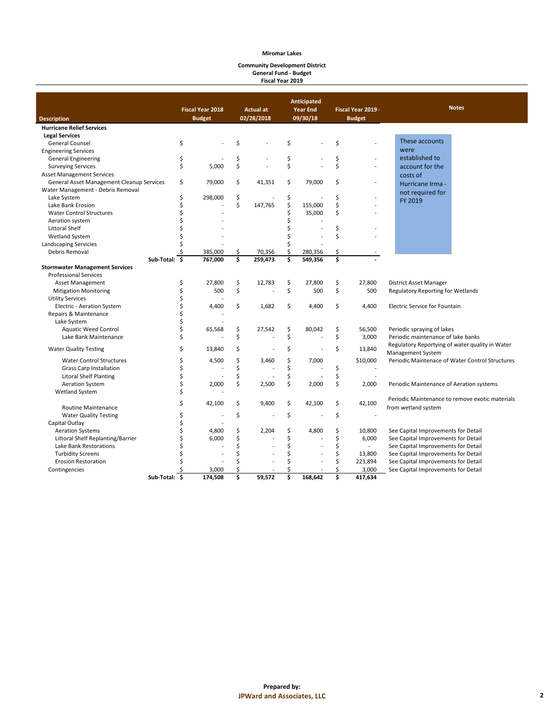#### **Community Development District General Fund - Budget Fiscal Year 2019**

|                                           |               |                         |    |                  | <b>Anticipated</b> |                 |    |                    |                                                 |
|-------------------------------------------|---------------|-------------------------|----|------------------|--------------------|-----------------|----|--------------------|-------------------------------------------------|
|                                           |               | <b>Fiscal Year 2018</b> |    | <b>Actual at</b> |                    | <b>Year End</b> |    | Fiscal Year 2019 - | <b>Notes</b>                                    |
| <b>Description</b>                        |               | <b>Budget</b>           |    | 02/28/2018       |                    | 09/30/18        |    | <b>Budget</b>      |                                                 |
| <b>Hurricane Relief Services</b>          |               |                         |    |                  |                    |                 |    |                    |                                                 |
| <b>Legal Services</b>                     |               |                         |    |                  |                    |                 |    |                    |                                                 |
| <b>General Counsel</b>                    | \$            |                         | Ś  |                  | \$                 |                 | Ś  |                    | These accounts                                  |
| <b>Engineering Services</b>               |               |                         |    |                  |                    |                 |    |                    | were                                            |
| <b>General Engineering</b>                | \$            |                         | \$ |                  | \$                 |                 | \$ |                    | established to                                  |
| <b>Surveying Services</b>                 | \$            | 5,000                   | \$ |                  | \$                 |                 | \$ |                    | account for the                                 |
| <b>Asset Management Services</b>          |               |                         |    |                  |                    |                 |    |                    | costs of                                        |
| General Asset Management Cleanup Services | \$            | 79,000                  | \$ | 41,351           | \$                 | 79,000          | \$ |                    | Hurricane Irma -                                |
| Water Management - Debris Removal         |               |                         |    |                  |                    |                 |    |                    | not required for                                |
| Lake System                               | \$            | 298,000                 | \$ |                  | \$                 |                 | \$ |                    | FY 2019                                         |
| Lake Bank Erosion                         | Ś             |                         | \$ | 147,765          | \$                 | 155,000         | \$ |                    |                                                 |
| <b>Water Control Structures</b>           | Ś             |                         |    |                  | \$                 | 35,000          | \$ |                    |                                                 |
| Aeration system                           | Ś             |                         |    |                  | Ś                  |                 |    |                    |                                                 |
| <b>Littoral Shelf</b>                     |               |                         |    |                  |                    |                 | \$ |                    |                                                 |
| <b>Wetland System</b>                     | Ś             |                         |    |                  | Ś                  |                 | Ś  |                    |                                                 |
| Landscaping Servicies                     |               |                         |    |                  | Ś                  |                 |    |                    |                                                 |
| Debris Removal                            |               | 385,000                 | \$ | 70,356           | \$                 | 280,356         | \$ |                    |                                                 |
|                                           | Sub-Total: \$ | 767,000                 | \$ | 259,473          | \$                 | 549,356         | \$ |                    |                                                 |
| <b>Stormwater Management Services</b>     |               |                         |    |                  |                    |                 |    |                    |                                                 |
| <b>Professional Services</b>              |               |                         |    |                  |                    |                 |    |                    |                                                 |
| <b>Asset Management</b>                   | \$            | 27,800                  | \$ | 12,783           | \$                 | 27,800          | \$ | 27,800             | District Asset Manager                          |
| <b>Mitigation Monitoring</b>              | \$            | 500                     | \$ |                  | \$                 | 500             | \$ | 500                | <b>Regulatory Reporting for Wetlands</b>        |
| <b>Utility Services</b>                   | \$            |                         |    |                  |                    |                 |    |                    |                                                 |
| Electric - Aeration System                | \$            | 4,400                   | \$ | 1,682            | \$                 | 4,400           | \$ | 4,400              | <b>Electric Service for Fountain</b>            |
| Repairs & Maintenance                     | \$            |                         |    |                  |                    |                 |    |                    |                                                 |
| Lake System                               | \$            |                         |    |                  |                    |                 |    |                    |                                                 |
| <b>Aquatic Weed Control</b>               | \$            | 65,568                  | \$ | 27,542           | \$                 | 80,042          | \$ | 56,500             | Periodic spraying of lakes                      |
| Lake Bank Maintenance                     | Ś             |                         | \$ |                  | \$                 |                 | \$ | 3,000              | Periodic maintenance of lake banks              |
|                                           |               |                         |    |                  |                    |                 |    |                    | Regulatory Reportying of water quality in Water |
| <b>Water Quality Testing</b>              | \$            | 13,840                  | \$ |                  | \$                 |                 | \$ | 13,840             | Management System                               |
| <b>Water Control Structures</b>           | \$            | 4,500                   | \$ | 3,460            | \$                 | 7,000           |    | \$10,000           | Periodic Maintenace of Water Control Structures |
| <b>Grass Carp Installation</b>            | \$            |                         | \$ |                  | \$                 |                 | \$ |                    |                                                 |
| <b>Litoral Shelf Planting</b>             | \$            |                         | \$ |                  | \$                 |                 | \$ |                    |                                                 |
| <b>Aeration System</b>                    | Ś             | 2,000                   | \$ | 2,500            | \$                 | 2,000           | \$ | 2,000              | Periodic Maintenance of Aeration systems        |
| <b>Wetland System</b>                     | Ś             |                         |    |                  |                    |                 |    |                    |                                                 |
|                                           |               |                         |    |                  |                    |                 |    |                    | Periodic Maintenance to remove exotic materials |
| Routine Maintenance                       | \$            | 42,100                  | \$ | 9,400            | \$                 | 42,100          | \$ | 42,100             | from wetland system                             |
| <b>Water Quality Testing</b>              | \$            |                         | \$ |                  | \$                 |                 | \$ |                    |                                                 |
| Capital Outlay                            | Ś             |                         |    |                  |                    |                 |    |                    |                                                 |
| <b>Aeration Systems</b>                   | \$            | 4,800                   | \$ | 2,204            | \$                 | 4,800           | \$ | 10,800             | See Capital Improvements for Detail             |
| Littoral Shelf Replanting/Barrier         | \$            | 6,000                   | \$ |                  | \$                 |                 | \$ | 6,000              | See Capital Improvements for Detail             |
| Lake Bank Restorations                    | Ś             |                         | \$ |                  | Ś                  |                 | \$ | ÷                  | See Capital Improvements for Detail             |
| <b>Turbidity Screens</b>                  | Ś             |                         | \$ |                  | Ś                  |                 | \$ | 13,800             | See Capital Improvements for Detail             |
| <b>Erosion Restoration</b>                | Ś             |                         | Ś  |                  | Ś                  |                 | \$ | 223,894            | See Capital Improvements for Detail             |
| Contingencies                             |               | 3,000                   | Ś  |                  | Ś                  |                 | \$ | 3,000              | See Capital Improvements for Detail             |
|                                           | Sub-Total: \$ | 174,508                 | \$ | 59,572           | \$                 | 168,642         | \$ | 417,634            |                                                 |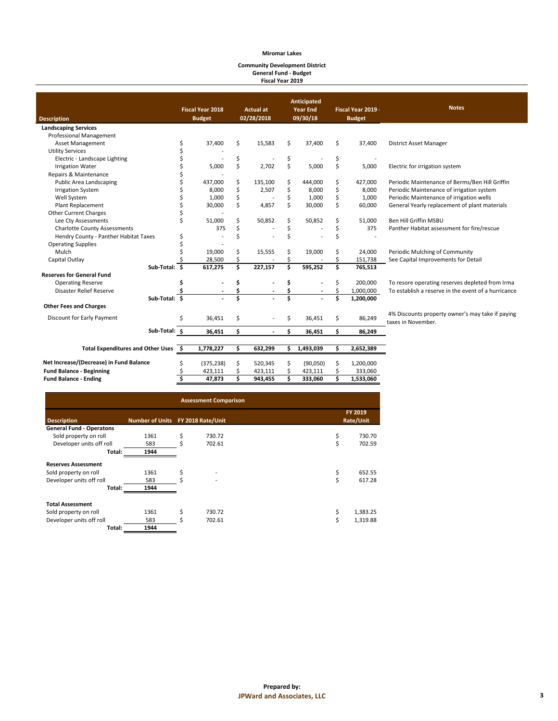#### **Community Development District General Fund - Budget Fiscal Year 2019**

| <b>Description</b>                               |    | <b>Fiscal Year 2018</b><br><b>Budget</b> |    | <b>Actual at</b><br>02/28/2018 |     | Anticipated<br><b>Year End</b><br>09/30/18 |    | Fiscal Year 2019 -<br><b>Budget</b> | <b>Notes</b>                                                           |
|--------------------------------------------------|----|------------------------------------------|----|--------------------------------|-----|--------------------------------------------|----|-------------------------------------|------------------------------------------------------------------------|
| <b>Landscaping Services</b>                      |    |                                          |    |                                |     |                                            |    |                                     |                                                                        |
| <b>Professional Management</b>                   |    |                                          |    |                                |     |                                            |    |                                     |                                                                        |
| Asset Management                                 | \$ | 37,400                                   | Ś. | 15,583                         | \$  | 37,400                                     | \$ | 37,400                              | District Asset Manager                                                 |
| <b>Utility Services</b>                          | \$ |                                          |    |                                |     |                                            |    |                                     |                                                                        |
| Electric - Landscape Lighting                    | Ś  |                                          | \$ |                                | \$  |                                            | \$ |                                     |                                                                        |
| <b>Irrigation Water</b>                          |    | 5,000                                    | \$ | 2.702                          | \$  | 5,000                                      | \$ | 5,000                               | Electric for irrigation system                                         |
| Repairs & Maintenance                            |    |                                          |    |                                |     |                                            |    |                                     |                                                                        |
| Public Area Landscaping                          |    | 437,000                                  | \$ | 135,100                        | \$  | 444,000                                    | \$ | 427,000                             | Periodic Maintenance of Berms/Ben Hill Griffin                         |
| <b>Irrigation System</b>                         |    | 8,000                                    | \$ | 2,507                          | \$  | 8,000                                      | \$ | 8,000                               | Periodic Maintenance of irrigation system                              |
| Well System                                      |    | 1,000                                    | \$ |                                | \$  | 1,000                                      | \$ | 1,000                               | Periodic Maintenance of irrigation wells                               |
| Plant Replacement                                |    | 30,000                                   | \$ | 4,857                          | \$  | 30,000                                     | \$ | 60,000                              | General Yearly replacement of plant materials                          |
| <b>Other Current Charges</b>                     |    |                                          |    |                                |     |                                            |    |                                     |                                                                        |
| Lee Cty Assessments                              |    | 51,000                                   |    | 50,852                         | \$  | 50,852                                     | \$ | 51,000                              | Ben Hill Griffin MSBU                                                  |
| <b>Charlotte County Assessments</b>              |    | 375                                      |    |                                | \$  |                                            | \$ | 375                                 | Panther Habitat assessment for fire/rescue                             |
| Hendry County - Panther Habitat Taxes            | \$ |                                          |    |                                |     |                                            | Ś  |                                     |                                                                        |
| <b>Operating Supplies</b>                        |    |                                          |    |                                |     |                                            |    |                                     |                                                                        |
| Mulch                                            |    | 19,000                                   | Ś  | 15,555                         | \$  | 19,000                                     | \$ | 24,000                              | Periodic Mulching of Community                                         |
| Capital Outlay                                   |    | 28,500                                   | Ś  |                                |     |                                            | Ś  | 151,738                             | See Capital Improvements for Detail                                    |
| Sub-Total: \$                                    |    | 617,275                                  | \$ | 227,157                        | Ś   | 595,252                                    | Ś  | 765,513                             |                                                                        |
| <b>Reserves for General Fund</b>                 |    |                                          |    |                                |     |                                            |    |                                     |                                                                        |
| <b>Operating Reserve</b>                         | Ś  |                                          |    |                                | \$  |                                            | \$ | 200,000                             | To resore operating reserves depleted from Irma                        |
| <b>Disaster Relief Reserve</b>                   |    |                                          |    |                                |     |                                            |    | 1,000,000                           | To establish a reserve in the event of a hurricance                    |
| Sub-Total: \$                                    |    |                                          |    |                                |     |                                            |    | 1,200,000                           |                                                                        |
| <b>Other Fees and Charges</b>                    |    |                                          |    |                                |     |                                            |    |                                     |                                                                        |
| Discount for Early Payment                       | \$ | 36,451                                   | Ś. |                                | \$  | 36,451                                     | \$ | 86,249                              | 4% Discounts property owner's may take if paying<br>taxes in November. |
| Sub-Total: \$                                    |    | 36,451                                   | \$ |                                | \$. | 36,451                                     | \$ | 86,249                              |                                                                        |
| <b>Total Expenditures and Other Uses</b><br>- \$ |    | 1,778,227                                | \$ | 632,299                        | \$  | 1,493,039                                  | \$ | 2,652,389                           |                                                                        |
| Net Increase/(Decrease) in Fund Balance          |    | (375, 238)                               | Ś  | 520,345                        | \$  | (90,050)                                   | \$ | 1,200,000                           |                                                                        |
| <b>Fund Balance - Beginning</b>                  |    | 423,111                                  |    | 423,111                        | Ś   | 423,111                                    |    | 333,060                             |                                                                        |
| <b>Fund Balance - Ending</b>                     | \$ | 47,873                                   | \$ | 943,455                        | \$  | 333,060                                    | \$ | 1,533,060                           |                                                                        |
|                                                  |    |                                          |    |                                |     |                                            |    |                                     |                                                                        |

| <b>Assessment Comparison</b>    |                                   |    |        |    |                      |  |  |  |  |  |  |  |
|---------------------------------|-----------------------------------|----|--------|----|----------------------|--|--|--|--|--|--|--|
| <b>Description</b>              | Number of Units FY 2018 Rate/Unit |    |        |    | FY 2019<br>Rate/Unit |  |  |  |  |  |  |  |
| <b>General Fund - Operatons</b> |                                   |    |        |    |                      |  |  |  |  |  |  |  |
| Sold property on roll           | 1361                              | \$ | 730.72 | \$ | 730.70               |  |  |  |  |  |  |  |
| Developer units off roll        | 583                               |    | 702.61 | Ś  | 702.59               |  |  |  |  |  |  |  |
| Total:                          | 1944                              |    |        |    |                      |  |  |  |  |  |  |  |
| <b>Reserves Assessment</b>      |                                   |    |        |    |                      |  |  |  |  |  |  |  |
| Sold property on roll           | 1361                              | \$ |        |    | 652.55               |  |  |  |  |  |  |  |
| Developer units off roll        | 583                               |    |        | Ś  | 617.28               |  |  |  |  |  |  |  |
| Total:                          | 1944                              |    |        |    |                      |  |  |  |  |  |  |  |
| <b>Total Assessment</b>         |                                   |    |        |    |                      |  |  |  |  |  |  |  |
| Sold property on roll           | 1361                              | \$ | 730.72 | \$ | 1,383.25             |  |  |  |  |  |  |  |
| Developer units off roll        | 583                               |    | 702.61 | Ś  | 1,319.88             |  |  |  |  |  |  |  |
| Total:                          | 1944                              |    |        |    |                      |  |  |  |  |  |  |  |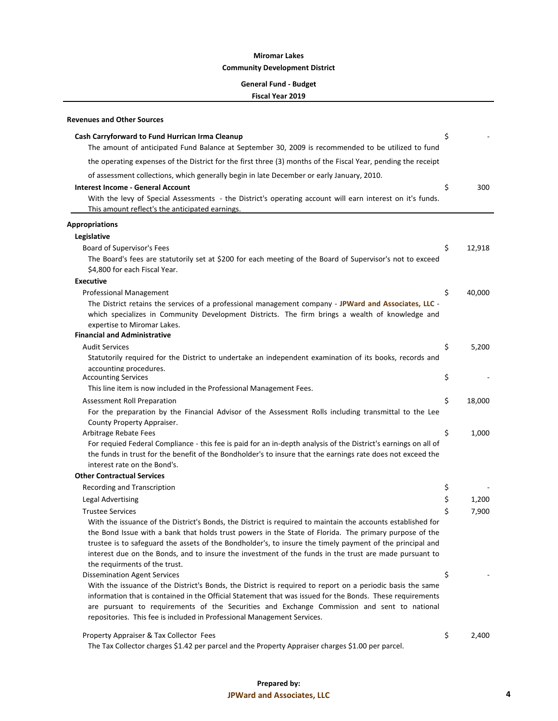#### **General Fund - Budget**

| Revenues and Other Sources                                                                                                                                             |              |
|------------------------------------------------------------------------------------------------------------------------------------------------------------------------|--------------|
| Cash Carryforward to Fund Hurrican Irma Cleanup                                                                                                                        | \$           |
| The amount of anticipated Fund Balance at September 30, 2009 is recommended to be utilized to fund                                                                     |              |
| the operating expenses of the District for the first three (3) months of the Fiscal Year, pending the receipt                                                          |              |
| of assessment collections, which generally begin in late December or early January, 2010.                                                                              |              |
| <b>Interest Income - General Account</b>                                                                                                                               | \$<br>300    |
| With the levy of Special Assessments - the District's operating account will earn interest on it's funds.                                                              |              |
| This amount reflect's the anticipated earnings.                                                                                                                        |              |
| <b>Appropriations</b>                                                                                                                                                  |              |
| Legislative                                                                                                                                                            |              |
| Board of Supervisor's Fees                                                                                                                                             | \$<br>12,918 |
| The Board's fees are statutorily set at \$200 for each meeting of the Board of Supervisor's not to exceed                                                              |              |
| \$4,800 for each Fiscal Year.                                                                                                                                          |              |
| <b>Executive</b>                                                                                                                                                       |              |
| <b>Professional Management</b>                                                                                                                                         | \$<br>40,000 |
| The District retains the services of a professional management company - JPWard and Associates, LLC -                                                                  |              |
| which specializes in Community Development Districts. The firm brings a wealth of knowledge and                                                                        |              |
| expertise to Miromar Lakes.<br><b>Financial and Administrative</b>                                                                                                     |              |
| <b>Audit Services</b>                                                                                                                                                  | \$<br>5,200  |
| Statutorily required for the District to undertake an independent examination of its books, records and                                                                |              |
| accounting procedures.                                                                                                                                                 |              |
| <b>Accounting Services</b>                                                                                                                                             | \$           |
| This line item is now included in the Professional Management Fees.                                                                                                    |              |
| Assessment Roll Preparation                                                                                                                                            | \$<br>18,000 |
| For the preparation by the Financial Advisor of the Assessment Rolls including transmittal to the Lee                                                                  |              |
| County Property Appraiser.                                                                                                                                             |              |
| Arbitrage Rebate Fees                                                                                                                                                  | \$<br>1,000  |
| For requied Federal Compliance - this fee is paid for an in-depth analysis of the District's earnings on all of                                                        |              |
| the funds in trust for the benefit of the Bondholder's to insure that the earnings rate does not exceed the                                                            |              |
| interest rate on the Bond's.<br><b>Other Contractual Services</b>                                                                                                      |              |
| Recording and Transcription                                                                                                                                            | \$           |
| <b>Legal Advertising</b>                                                                                                                                               | \$<br>1,200  |
| <b>Trustee Services</b>                                                                                                                                                | \$<br>7,900  |
| With the issuance of the District's Bonds, the District is required to maintain the accounts established for                                                           |              |
| the Bond Issue with a bank that holds trust powers in the State of Florida. The primary purpose of the                                                                 |              |
| trustee is to safeguard the assets of the Bondholder's, to insure the timely payment of the principal and                                                              |              |
| interest due on the Bonds, and to insure the investment of the funds in the trust are made pursuant to                                                                 |              |
| the requirments of the trust.                                                                                                                                          |              |
| <b>Dissemination Agent Services</b>                                                                                                                                    | \$           |
| With the issuance of the District's Bonds, the District is required to report on a periodic basis the same                                                             |              |
| information that is contained in the Official Statement that was issued for the Bonds. These requirements                                                              |              |
| are pursuant to requirements of the Securities and Exchange Commission and sent to national<br>repositories. This fee is included in Professional Management Services. |              |
|                                                                                                                                                                        |              |
| Property Appraiser & Tax Collector Fees                                                                                                                                | \$<br>2,400  |
| The Tax Collector charges \$1.42 per parcel and the Property Appraiser charges \$1.00 per parcel.                                                                      |              |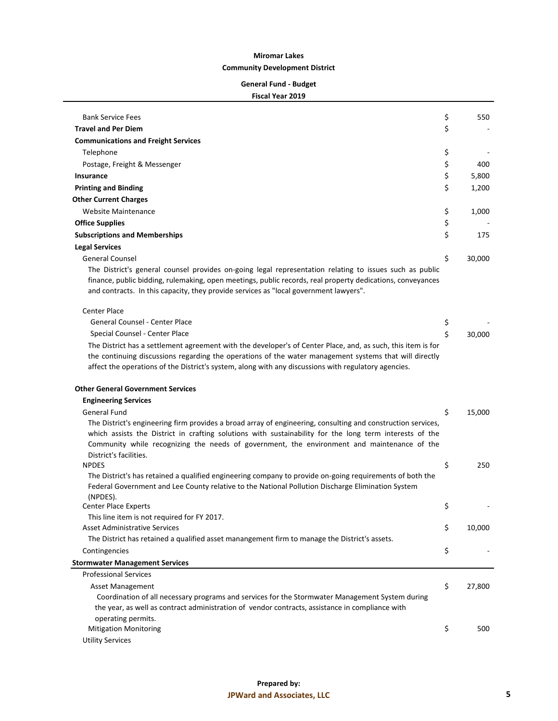#### **General Fund - Budget**

#### **Fiscal Year 2019**

| <b>Bank Service Fees</b>                                                                                                                                                                                                                                                                                                                         | \$<br>550    |
|--------------------------------------------------------------------------------------------------------------------------------------------------------------------------------------------------------------------------------------------------------------------------------------------------------------------------------------------------|--------------|
| <b>Travel and Per Diem</b>                                                                                                                                                                                                                                                                                                                       | \$           |
| <b>Communications and Freight Services</b>                                                                                                                                                                                                                                                                                                       |              |
| Telephone                                                                                                                                                                                                                                                                                                                                        | \$           |
| Postage, Freight & Messenger                                                                                                                                                                                                                                                                                                                     | \$<br>400    |
| Insurance                                                                                                                                                                                                                                                                                                                                        | \$<br>5,800  |
| <b>Printing and Binding</b>                                                                                                                                                                                                                                                                                                                      | \$<br>1,200  |
| <b>Other Current Charges</b>                                                                                                                                                                                                                                                                                                                     |              |
| Website Maintenance                                                                                                                                                                                                                                                                                                                              | \$<br>1,000  |
| <b>Office Supplies</b>                                                                                                                                                                                                                                                                                                                           | \$           |
|                                                                                                                                                                                                                                                                                                                                                  | \$<br>175    |
| <b>Subscriptions and Memberships</b>                                                                                                                                                                                                                                                                                                             |              |
| <b>Legal Services</b>                                                                                                                                                                                                                                                                                                                            | \$           |
| <b>General Counsel</b><br>The District's general counsel provides on-going legal representation relating to issues such as public<br>finance, public bidding, rulemaking, open meetings, public records, real property dedications, conveyances<br>and contracts. In this capacity, they provide services as "local government lawyers".         | 30,000       |
| <b>Center Place</b>                                                                                                                                                                                                                                                                                                                              |              |
| General Counsel - Center Place                                                                                                                                                                                                                                                                                                                   | \$           |
| Special Counsel - Center Place                                                                                                                                                                                                                                                                                                                   | \$<br>30,000 |
| The District has a settlement agreement with the developer's of Center Place, and, as such, this item is for<br>the continuing discussions regarding the operations of the water management systems that will directly<br>affect the operations of the District's system, along with any discussions with regulatory agencies.                   |              |
| <b>Other General Government Services</b>                                                                                                                                                                                                                                                                                                         |              |
| <b>Engineering Services</b>                                                                                                                                                                                                                                                                                                                      |              |
| General Fund                                                                                                                                                                                                                                                                                                                                     | \$<br>15,000 |
| The District's engineering firm provides a broad array of engineering, consulting and construction services,<br>which assists the District in crafting solutions with sustainability for the long term interests of the<br>Community while recognizing the needs of government, the environment and maintenance of the<br>District's facilities. |              |
| <b>NPDES</b>                                                                                                                                                                                                                                                                                                                                     | \$<br>250    |
| The District's has retained a qualified engineering company to provide on-going requirements of both the<br>Federal Government and Lee County relative to the National Pollution Discharge Elimination System<br>(NPDES).                                                                                                                        |              |
| <b>Center Place Experts</b>                                                                                                                                                                                                                                                                                                                      | \$           |
| This line item is not required for FY 2017.                                                                                                                                                                                                                                                                                                      |              |
| <b>Asset Administrative Services</b>                                                                                                                                                                                                                                                                                                             | \$<br>10,000 |
| The District has retained a qualified asset manangement firm to manage the District's assets.                                                                                                                                                                                                                                                    |              |
| Contingencies                                                                                                                                                                                                                                                                                                                                    | \$           |
| <b>Stormwater Management Services</b>                                                                                                                                                                                                                                                                                                            |              |
| <b>Professional Services</b>                                                                                                                                                                                                                                                                                                                     |              |
| <b>Asset Management</b><br>Coordination of all necessary programs and services for the Stormwater Management System during<br>the year, as well as contract administration of vendor contracts, assistance in compliance with                                                                                                                    | \$<br>27,800 |
| operating permits.<br><b>Mitigation Monitoring</b>                                                                                                                                                                                                                                                                                               | \$<br>500    |
|                                                                                                                                                                                                                                                                                                                                                  |              |

Utility Services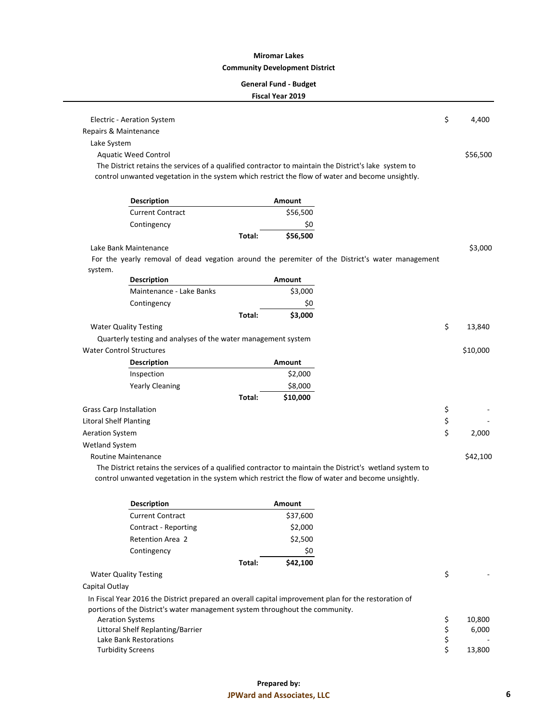#### **General Fund - Budget**

|                                 | Electric - Aeration System                                                                            |        |          |                                                                                                          | \$             | 4,400    |
|---------------------------------|-------------------------------------------------------------------------------------------------------|--------|----------|----------------------------------------------------------------------------------------------------------|----------------|----------|
| Repairs & Maintenance           |                                                                                                       |        |          |                                                                                                          |                |          |
| Lake System                     |                                                                                                       |        |          |                                                                                                          |                |          |
|                                 | <b>Aquatic Weed Control</b>                                                                           |        |          |                                                                                                          |                | \$56,500 |
|                                 | The District retains the services of a qualified contractor to maintain the District's lake system to |        |          |                                                                                                          |                |          |
|                                 | control unwanted vegetation in the system which restrict the flow of water and become unsightly.      |        |          |                                                                                                          |                |          |
|                                 |                                                                                                       |        |          |                                                                                                          |                |          |
|                                 | <b>Description</b>                                                                                    |        | Amount   |                                                                                                          |                |          |
|                                 | <b>Current Contract</b>                                                                               |        | \$56,500 |                                                                                                          |                |          |
|                                 | Contingency                                                                                           |        | \$0      |                                                                                                          |                |          |
|                                 |                                                                                                       | Total: | \$56,500 |                                                                                                          |                |          |
|                                 | Lake Bank Maintenance                                                                                 |        |          |                                                                                                          |                | \$3,000  |
|                                 |                                                                                                       |        |          | For the yearly removal of dead vegation around the peremiter of the District's water management          |                |          |
| system.                         |                                                                                                       |        |          |                                                                                                          |                |          |
|                                 | <b>Description</b>                                                                                    |        | Amount   |                                                                                                          |                |          |
|                                 | Maintenance - Lake Banks                                                                              |        | \$3,000  |                                                                                                          |                |          |
|                                 | Contingency                                                                                           |        | \$0      |                                                                                                          |                |          |
|                                 |                                                                                                       | Total: | \$3,000  |                                                                                                          |                |          |
|                                 | <b>Water Quality Testing</b>                                                                          |        |          |                                                                                                          | \$             | 13,840   |
|                                 | Quarterly testing and analyses of the water management system                                         |        |          |                                                                                                          |                |          |
| <b>Water Control Structures</b> |                                                                                                       |        |          |                                                                                                          |                | \$10,000 |
|                                 | <b>Description</b>                                                                                    |        | Amount   |                                                                                                          |                |          |
|                                 | Inspection                                                                                            |        | \$2,000  |                                                                                                          |                |          |
|                                 | <b>Yearly Cleaning</b>                                                                                |        | \$8,000  |                                                                                                          |                |          |
|                                 |                                                                                                       | Total: | \$10,000 |                                                                                                          |                |          |
| <b>Grass Carp Installation</b>  |                                                                                                       |        |          |                                                                                                          | \$             |          |
| <b>Litoral Shelf Planting</b>   |                                                                                                       |        |          |                                                                                                          | \$             |          |
| <b>Aeration System</b>          |                                                                                                       |        |          |                                                                                                          | \$             | 2,000    |
| <b>Wetland System</b>           |                                                                                                       |        |          |                                                                                                          |                |          |
|                                 | <b>Routine Maintenance</b>                                                                            |        |          |                                                                                                          |                | \$42,100 |
|                                 |                                                                                                       |        |          | The District retains the services of a qualified contractor to maintain the District's wetland system to |                |          |
|                                 | control unwanted vegetation in the system which restrict the flow of water and become unsightly.      |        |          |                                                                                                          |                |          |
|                                 |                                                                                                       |        |          |                                                                                                          |                |          |
|                                 | <b>Description</b>                                                                                    |        | Amount   |                                                                                                          |                |          |
|                                 | <b>Current Contract</b>                                                                               |        | \$37,600 |                                                                                                          |                |          |
|                                 | Contract - Reporting                                                                                  |        | \$2,000  |                                                                                                          |                |          |
|                                 | Retention Area 2                                                                                      |        | \$2,500  |                                                                                                          |                |          |
|                                 | Contingency                                                                                           |        | \$0      |                                                                                                          |                |          |
|                                 |                                                                                                       | Total: | \$42,100 |                                                                                                          |                |          |
|                                 | <b>Water Quality Testing</b>                                                                          |        |          |                                                                                                          | \$             |          |
| Capital Outlay                  |                                                                                                       |        |          |                                                                                                          |                |          |
|                                 | In Fiscal Year 2016 the District prepared an overall capital improvement plan for the restoration of  |        |          |                                                                                                          |                |          |
|                                 | portions of the District's water management system throughout the community.                          |        |          |                                                                                                          |                |          |
|                                 | <b>Aeration Systems</b>                                                                               |        |          |                                                                                                          | \$             | 10,800   |
|                                 | Littoral Shelf Replanting/Barrier                                                                     |        |          |                                                                                                          | \$<br>\$<br>\$ | 6,000    |
|                                 | Lake Bank Restorations                                                                                |        |          |                                                                                                          |                |          |
|                                 | <b>Turbidity Screens</b>                                                                              |        |          |                                                                                                          |                | 13,800   |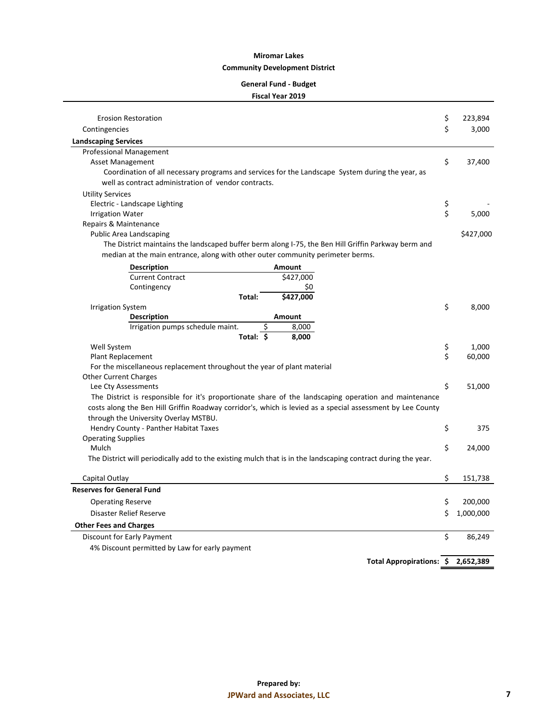#### **General Fund - Budget**

#### **Fiscal Year 2019**

| <b>Erosion Restoration</b>                                                                                    | \$       | 223,894   |
|---------------------------------------------------------------------------------------------------------------|----------|-----------|
| Contingencies                                                                                                 | \$       | 3,000     |
| <b>Landscaping Services</b>                                                                                   |          |           |
| Professional Management                                                                                       |          |           |
| Asset Management                                                                                              | \$       | 37,400    |
| Coordination of all necessary programs and services for the Landscape System during the year, as              |          |           |
| well as contract administration of vendor contracts.                                                          |          |           |
| <b>Utility Services</b>                                                                                       |          |           |
| Electric - Landscape Lighting                                                                                 | \$       |           |
| <b>Irrigation Water</b>                                                                                       | \$       | 5,000     |
| Repairs & Maintenance                                                                                         |          |           |
| Public Area Landscaping                                                                                       |          | \$427,000 |
| The District maintains the landscaped buffer berm along I-75, the Ben Hill Griffin Parkway berm and           |          |           |
| median at the main entrance, along with other outer community perimeter berms.                                |          |           |
| <b>Description</b><br>Amount                                                                                  |          |           |
| <b>Current Contract</b><br>\$427,000                                                                          |          |           |
| Contingency<br>S0                                                                                             |          |           |
| \$427,000<br>Total:                                                                                           |          |           |
| <b>Irrigation System</b>                                                                                      | \$       | 8,000     |
| <b>Description</b><br>Amount                                                                                  |          |           |
| Irrigation pumps schedule maint.<br>\$<br>8,000                                                               |          |           |
| Total: $\overline{\phantom{a}}$<br>8,000                                                                      |          |           |
| Well System                                                                                                   | \$<br>\$ | 1,000     |
| Plant Replacement                                                                                             |          | 60,000    |
| For the miscellaneous replacement throughout the year of plant material<br><b>Other Current Charges</b>       |          |           |
| Lee Cty Assessments                                                                                           | \$       | 51,000    |
| The District is responsible for it's proportionate share of the landscaping operation and maintenance         |          |           |
| costs along the Ben Hill Griffin Roadway corridor's, which is levied as a special assessment by Lee County    |          |           |
| through the University Overlay MSTBU.                                                                         |          |           |
| Hendry County - Panther Habitat Taxes                                                                         | \$       | 375       |
| <b>Operating Supplies</b>                                                                                     |          |           |
| Mulch                                                                                                         | \$       | 24,000    |
| The District will periodically add to the existing mulch that is in the landscaping contract during the year. |          |           |
| Capital Outlay                                                                                                | \$       | 151,738   |
| <b>Reserves for General Fund</b>                                                                              |          |           |
| <b>Operating Reserve</b>                                                                                      | \$       | 200,000   |
| Disaster Relief Reserve                                                                                       | Ś        | 1,000,000 |
| <b>Other Fees and Charges</b>                                                                                 |          |           |
| Discount for Early Payment                                                                                    | \$       | 86,249    |
| 4% Discount permitted by Law for early payment                                                                |          |           |

**Total Appropirations: \$ 2,652,389**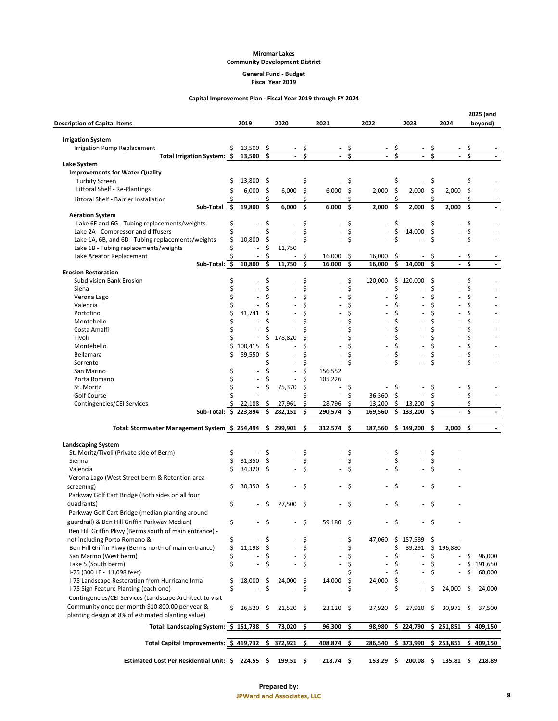#### **General Fund - Budget Fiscal Year 2019**

#### **Capital Improvement Plan - Fiscal Year 2019 through FY 2024**

| <b>Description of Capital Items</b>                                                          |          | 2019        |          | 2020                     |          | 2021        |          | 2022                |     | 2023                  |    | 2024                  |    | 2025 (and<br>beyond) |
|----------------------------------------------------------------------------------------------|----------|-------------|----------|--------------------------|----------|-------------|----------|---------------------|-----|-----------------------|----|-----------------------|----|----------------------|
| <b>Irrigation System</b>                                                                     |          |             |          |                          |          |             |          |                     |     |                       |    |                       |    |                      |
| Irrigation Pump Replacement                                                                  | S        | 13,500      | \$       |                          | \$       |             |          |                     |     |                       |    |                       |    |                      |
| Total Irrigation System: \$                                                                  |          | 13,500      | \$       |                          | Ś        |             | Ś        |                     | Ś   |                       | Ś  |                       | Ś  |                      |
| Lake System                                                                                  |          |             |          |                          |          |             |          |                     |     |                       |    |                       |    |                      |
| <b>Improvements for Water Quality</b>                                                        |          |             |          |                          |          |             |          |                     |     |                       |    |                       |    |                      |
| <b>Turbity Screen</b>                                                                        | \$       | 13,800      | -\$      |                          | \$       |             | \$       |                     | \$  |                       | \$ |                       | \$ |                      |
| Littoral Shelf - Re-Plantings                                                                | \$       | 6,000       | -\$      | 6,000                    | \$       | 6,000       | \$       | 2,000               | \$  | 2,000                 | \$ | 2,000                 | \$ |                      |
| Littoral Shelf - Barrier Installation                                                        |          |             | \$       |                          | \$       |             | \$       |                     | \$  |                       | \$ |                       | \$ |                      |
| Sub-Total \$                                                                                 |          | 19,800      | \$       | 6,000                    | \$       | 6,000       | \$       | 2,000               | \$  | 2,000                 | \$ | 2,000                 | \$ |                      |
| <b>Aeration System</b>                                                                       |          |             | \$       |                          | \$       |             | \$       |                     | \$  |                       | \$ |                       | \$ |                      |
| Lake 6E and 6G - Tubing replacements/weights<br>Lake 2A - Compressor and diffusers           | \$<br>\$ |             | \$       |                          | \$       |             | \$       |                     | \$  | 14,000                | \$ |                       | \$ |                      |
| Lake 1A, 6B, and 6D - Tubing replacements/weights                                            | \$       | 10,800      | \$       |                          | \$       |             | Ś        |                     | Ś   |                       | Ś  |                       | Ś  |                      |
| Lake 1B - Tubing replacements/weights                                                        |          | ä,          | \$       | 11,750                   |          |             |          |                     |     |                       |    |                       |    |                      |
| Lake Areator Replacement                                                                     |          |             | \$       |                          | S        | 16,000      | \$       | 16,000              | \$  |                       | Ş  |                       | \$ |                      |
| Sub-Total: \$                                                                                |          | 10,800      | \$       | 11,750                   | \$       | 16,000      | \$       | 16,000              | \$  | 14,000                | \$ |                       | \$ |                      |
| <b>Erosion Restoration</b>                                                                   |          |             |          |                          |          |             |          |                     |     |                       |    |                       |    |                      |
| Subdivision Bank Erosion                                                                     | \$       |             | \$       |                          | \$       |             | \$       | 120,000             | \$  | 120,000               | \$ |                       | \$ |                      |
| Siena                                                                                        | \$       |             | Ś        |                          | \$       |             | \$       |                     | \$  |                       | \$ |                       | \$ |                      |
| Verona Lago                                                                                  | \$       |             | Ś        |                          | \$       |             | \$       |                     | \$  |                       | \$ |                       | \$ |                      |
| Valencia                                                                                     | \$       |             | Ś        |                          | Ś        |             | Ś        |                     | Ś   |                       | Ś  |                       | Ś  |                      |
| Portofino                                                                                    | \$       | 41,741      | \$       |                          | Ś        |             | Ś        |                     | Ś   |                       | \$ |                       | \$ |                      |
| Montebello                                                                                   | \$       |             | Ś        |                          | Ś        |             |          |                     |     |                       | Ś  |                       | Ś  |                      |
| Costa Amalfi                                                                                 | Ś        |             | \$       |                          | \$       |             |          |                     | Ś   |                       | Ś  |                       | \$ |                      |
| Tivoli                                                                                       |          |             | \$       | 178,820                  | Ś        |             |          |                     | \$  |                       | Ś  |                       | Ś  |                      |
| Montebello                                                                                   | \$       | 100.415     | \$       |                          | Ś        |             |          |                     | Ś   |                       | Ś  |                       | Ś  |                      |
| Bellamara                                                                                    | \$       | 59,550      | \$       |                          | Ś        |             |          |                     |     |                       | Ś  |                       |    |                      |
| Sorrento                                                                                     |          |             |          |                          | \$       |             | Ś        |                     | Ś   |                       | Ś  |                       | Ś  |                      |
| San Marino                                                                                   | \$       |             | Ś        |                          | \$       | 156,552     |          |                     |     |                       |    |                       |    |                      |
| Porta Romano                                                                                 | \$       |             | \$       |                          | \$       | 105,226     |          |                     |     |                       |    |                       |    |                      |
| St. Moritz                                                                                   | Ś        |             |          | 75,370                   | \$       |             | \$       |                     | \$  |                       | \$ |                       | \$ |                      |
| Golf Course                                                                                  |          |             |          |                          | Ś        |             | \$       | 36,360              | \$  |                       | Ś  |                       | \$ |                      |
| Contingencies/CEI Services                                                                   |          | 22,188      | \$       | 27,961                   | \$       | 28,796      | \$       | 13,200              | \$  | 13,200                | \$ |                       | \$ |                      |
| Sub-Total: \$ 223,894                                                                        |          |             | \$       | 282,151                  | \$       | 290,574     | \$       | 169,560             | \$. | 133,200               | \$ |                       | \$ |                      |
| Total: Stormwater Management System \$ 254,494                                               |          |             | \$       | 299,901                  | \$       | 312,574     | \$       | 187,560             |     | \$149,200             | \$ | 2,000                 | \$ |                      |
| <b>Landscaping System</b>                                                                    |          |             |          |                          |          |             |          |                     |     |                       |    |                       |    |                      |
| St. Moritz/Tivoli (Private side of Berm)                                                     | \$       |             | \$       |                          | \$       |             | \$       |                     | \$  |                       | \$ |                       |    |                      |
| Sienna                                                                                       | \$       | 31,350      | \$       |                          | \$       |             | \$       |                     | \$  |                       | \$ |                       |    |                      |
| Valencia                                                                                     | Ś        | 34,320      | \$       |                          | \$       |             |          |                     | Ś   |                       | Ś  |                       |    |                      |
| Verona Lago (West Street berm & Retention area                                               |          |             |          |                          |          |             |          |                     |     |                       |    |                       |    |                      |
| screening)                                                                                   | \$       | 30,350      | \$       |                          | \$       |             |          |                     |     |                       | Ś  |                       |    |                      |
| Parkway Golf Cart Bridge (Both sides on all four                                             |          |             |          |                          |          |             |          |                     |     |                       |    |                       |    |                      |
| quadrants)                                                                                   | \$       |             | S        | 27,500                   | - \$     |             | \$       |                     | \$  |                       | \$ |                       |    |                      |
| Parkway Golf Cart Bridge (median planting around                                             |          |             |          |                          |          |             |          |                     |     |                       |    |                       |    |                      |
| guardrail) & Ben Hill Griffin Parkway Median)                                                | \$       |             | \$       |                          |          | 59,180 \$   |          |                     | \$  |                       | \$ |                       |    |                      |
| Ben Hill Griffin Pkwy (Berms south of main entrance) -                                       |          |             |          |                          |          |             |          |                     |     |                       |    |                       |    |                      |
|                                                                                              |          |             |          |                          |          |             |          |                     |     |                       |    |                       |    |                      |
| not including Porto Romano &<br>Ben Hill Griffin Pkwy (Berms north of main entrance)         | \$<br>\$ | 11,198      | S<br>-\$ |                          | \$<br>\$ |             | \$<br>\$ | 47,060              | \$  | \$157,589\$<br>39,291 |    | \$196,880             |    |                      |
| San Marino (West berm)                                                                       | \$       |             | \$       | $\overline{\phantom{a}}$ | \$       |             | \$       |                     | \$  |                       | \$ |                       | \$ | 96,000               |
| Lake 5 (South berm)                                                                          | \$       |             | \$       |                          | \$       |             | \$       |                     | \$  |                       | \$ |                       | \$ | 191,650              |
| I-75 (300 LF - 11,098 feet)                                                                  |          |             |          |                          |          |             |          |                     | \$  |                       | \$ |                       | \$ | 60,000               |
| I-75 Landscape Restoration from Hurricane Irma                                               | \$       | 18,000      | - \$     | $24,000$ \$              |          | 14,000      | \$       | 24,000              | \$  |                       |    |                       |    |                      |
| I-75 Sign Feature Planting (each one)                                                        | \$       |             | \$       |                          | \$       |             | \$       |                     | \$  |                       | \$ | 24,000                | \$ | 24,000               |
| Contingencies/CEI Services (Landscape Architect to visit                                     |          |             |          |                          |          |             |          |                     |     |                       |    |                       |    |                      |
| Community once per month \$10,800.00 per year &                                              |          |             |          |                          |          |             |          |                     |     |                       |    |                       |    |                      |
| planting design at 8% of estimated planting value)                                           | \$       | $26,520$ \$ |          | $21,520$ \$              |          | $23,120$ \$ |          | $27,920$ \$         |     | $27,910 \quad $$      |    | 30,971 \$             |    | 37,500               |
| Total: Landscaping System: \$ 151,738                                                        |          |             | \$       | 73,020                   | \$       | 96,300      | \$       | 98,980              |     | \$224,790             |    | \$251,851             |    | \$409,150            |
| Total Capital Improvements: \$ 419,732 \$                                                    |          |             |          | 372,921 \$               |          | 408,874     | \$       | 286,540             |     | \$373,990             |    | \$253,851             |    | \$409,150            |
|                                                                                              |          |             |          |                          |          |             |          |                     |     |                       |    |                       |    |                      |
| Estimated Cost Per Residential Unit: $\frac{2}{3}$ 224.55 $\frac{2}{3}$ 199.51 $\frac{2}{3}$ |          |             |          |                          |          | $218.74$ \$ |          | $153.29\frac{1}{2}$ |     |                       |    | $200.08$ \$ 135.81 \$ |    | 218.89               |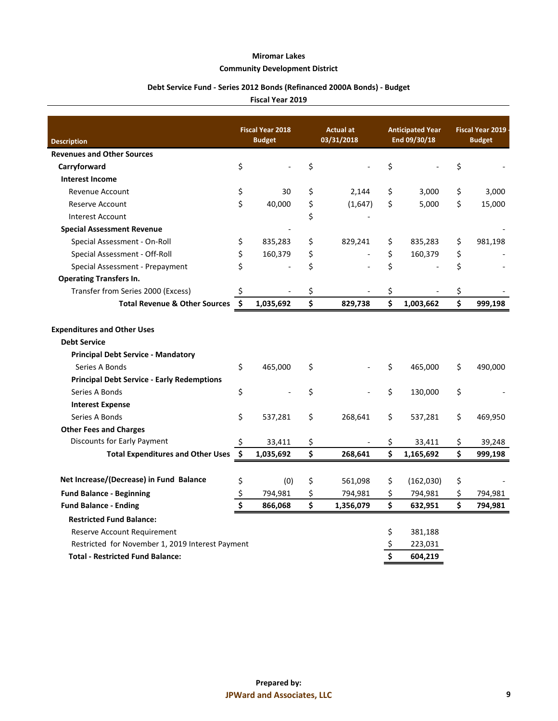## **Community Development District**

## **Debt Service Fund - Series 2012 Bonds (Refinanced 2000A Bonds) - Budget**

|                                                   | <b>Fiscal Year 2018</b> |               | Actual at       |    | <b>Anticipated Year</b><br>End 09/30/18 | <b>Fiscal Year 2019</b> |
|---------------------------------------------------|-------------------------|---------------|-----------------|----|-----------------------------------------|-------------------------|
| <b>Description</b>                                |                         | <b>Budget</b> | 03/31/2018      |    |                                         | <b>Budget</b>           |
| <b>Revenues and Other Sources</b>                 |                         |               |                 |    |                                         |                         |
| Carryforward                                      | \$                      |               | \$              | \$ |                                         | \$                      |
| <b>Interest Income</b>                            |                         |               |                 |    |                                         |                         |
| Revenue Account                                   | \$                      | 30            | \$<br>2,144     | \$ | 3,000                                   | \$<br>3,000             |
| Reserve Account                                   | \$                      | 40,000        | \$<br>(1,647)   | \$ | 5,000                                   | \$<br>15,000            |
| <b>Interest Account</b>                           |                         |               | \$              |    |                                         |                         |
| <b>Special Assessment Revenue</b>                 |                         |               |                 |    |                                         |                         |
| Special Assessment - On-Roll                      | \$                      | 835,283       | \$<br>829,241   | \$ | 835,283                                 | \$<br>981,198           |
| Special Assessment - Off-Roll                     | \$                      | 160,379       | \$              | \$ | 160,379                                 | \$                      |
| Special Assessment - Prepayment                   | \$                      |               | \$              | \$ |                                         | \$                      |
| <b>Operating Transfers In.</b>                    |                         |               |                 |    |                                         |                         |
| Transfer from Series 2000 (Excess)                | \$,                     |               | \$              | \$ |                                         | \$                      |
| <b>Total Revenue &amp; Other Sources</b>          | $\ddot{\bm{\zeta}}$     | 1,035,692     | \$<br>829,738   | \$ | 1,003,662                               | \$<br>999,198           |
| <b>Expenditures and Other Uses</b>                |                         |               |                 |    |                                         |                         |
| <b>Debt Service</b>                               |                         |               |                 |    |                                         |                         |
| <b>Principal Debt Service - Mandatory</b>         |                         |               |                 |    |                                         |                         |
| Series A Bonds                                    | \$                      | 465,000       | \$              | \$ | 465,000                                 | \$<br>490,000           |
| <b>Principal Debt Service - Early Redemptions</b> |                         |               |                 |    |                                         |                         |
| Series A Bonds                                    | \$                      |               | \$              | \$ | 130,000                                 | \$                      |
| <b>Interest Expense</b>                           |                         |               |                 |    |                                         |                         |
| Series A Bonds                                    | \$                      | 537,281       | \$<br>268,641   | \$ | 537,281                                 | \$<br>469,950           |
| <b>Other Fees and Charges</b>                     |                         |               |                 |    |                                         |                         |
| Discounts for Early Payment                       | \$                      | 33,411        | \$              | \$ | 33,411                                  | \$<br>39,248            |
| <b>Total Expenditures and Other Uses</b>          | $\dot{\mathsf{s}}$      | 1,035,692     | \$<br>268,641   | Ś  | 1,165,692                               | \$<br>999,198           |
| Net Increase/(Decrease) in Fund Balance           | \$                      | (0)           | \$<br>561,098   | \$ | (162,030)                               | \$                      |
|                                                   |                         |               |                 |    |                                         |                         |
| <b>Fund Balance - Beginning</b>                   | \$<br>\$                | 794,981       | \$<br>794,981   | \$ | 794,981                                 | \$<br>794,981           |
| <b>Fund Balance - Ending</b>                      |                         | 866,068       | \$<br>1,356,079 | \$ | 632,951                                 | \$<br>794,981           |
| <b>Restricted Fund Balance:</b>                   |                         |               |                 |    |                                         |                         |
| Reserve Account Requirement                       |                         |               |                 | \$ | 381,188                                 |                         |
| Restricted for November 1, 2019 Interest Payment  |                         |               |                 |    | 223,031                                 |                         |
| <b>Total - Restricted Fund Balance:</b>           |                         |               |                 | \$ | 604,219                                 |                         |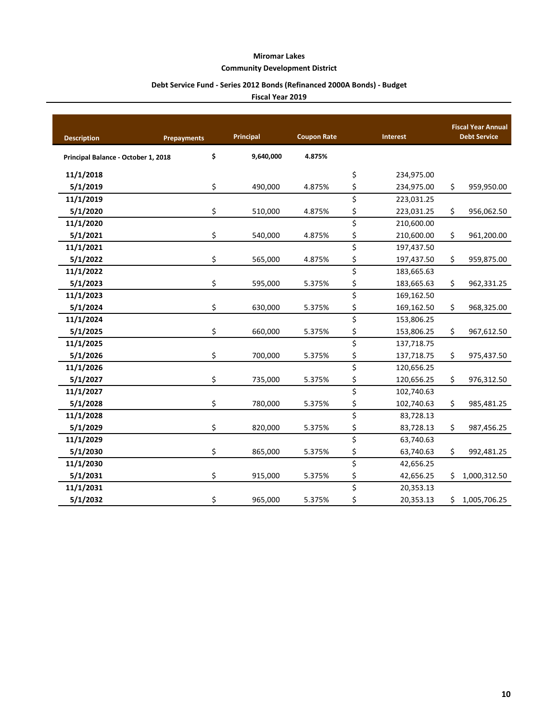#### **Community Development District**

## **Debt Service Fund - Series 2012 Bonds (Refinanced 2000A Bonds) - Budget**

| <b>Description</b>                  | <b>Prepayments</b> | Principal | <b>Coupon Rate</b> | <b>Interest</b>  | <b>Fiscal Year Annual</b><br><b>Debt Service</b> |  |  |  |  |  |
|-------------------------------------|--------------------|-----------|--------------------|------------------|--------------------------------------------------|--|--|--|--|--|
| Principal Balance - October 1, 2018 | \$                 | 9,640,000 | 4.875%             |                  |                                                  |  |  |  |  |  |
| 11/1/2018                           |                    |           |                    | \$<br>234,975.00 |                                                  |  |  |  |  |  |
| 5/1/2019                            | \$                 | 490,000   | 4.875%             | \$<br>234,975.00 | \$<br>959,950.00                                 |  |  |  |  |  |
| 11/1/2019                           |                    |           |                    | \$<br>223,031.25 |                                                  |  |  |  |  |  |
| 5/1/2020                            | \$                 | 510,000   | 4.875%             | \$<br>223,031.25 | \$<br>956,062.50                                 |  |  |  |  |  |
| 11/1/2020                           |                    |           |                    | \$<br>210,600.00 |                                                  |  |  |  |  |  |
| 5/1/2021                            | \$                 | 540,000   | 4.875%             | \$<br>210,600.00 | \$<br>961,200.00                                 |  |  |  |  |  |
| 11/1/2021                           |                    |           |                    | \$<br>197,437.50 |                                                  |  |  |  |  |  |
| 5/1/2022                            | \$                 | 565,000   | 4.875%             | \$<br>197,437.50 | \$<br>959,875.00                                 |  |  |  |  |  |
| 11/1/2022                           |                    |           |                    | \$<br>183,665.63 |                                                  |  |  |  |  |  |
| 5/1/2023                            | \$                 | 595,000   | 5.375%             | \$<br>183,665.63 | \$<br>962,331.25                                 |  |  |  |  |  |
| 11/1/2023                           |                    |           |                    | \$<br>169,162.50 |                                                  |  |  |  |  |  |
| 5/1/2024                            | \$                 | 630,000   | 5.375%             | \$<br>169,162.50 | \$<br>968,325.00                                 |  |  |  |  |  |
| 11/1/2024                           |                    |           |                    | \$<br>153,806.25 |                                                  |  |  |  |  |  |
| 5/1/2025                            | \$                 | 660,000   | 5.375%             | \$<br>153,806.25 | \$<br>967,612.50                                 |  |  |  |  |  |
| 11/1/2025                           |                    |           |                    | \$<br>137,718.75 |                                                  |  |  |  |  |  |
| 5/1/2026                            | \$                 | 700,000   | 5.375%             | \$<br>137,718.75 | \$<br>975,437.50                                 |  |  |  |  |  |
| 11/1/2026                           |                    |           |                    | \$<br>120,656.25 |                                                  |  |  |  |  |  |
| 5/1/2027                            | \$                 | 735,000   | 5.375%             | \$<br>120,656.25 | \$<br>976,312.50                                 |  |  |  |  |  |
| 11/1/2027                           |                    |           |                    | \$<br>102,740.63 |                                                  |  |  |  |  |  |
| 5/1/2028                            | \$                 | 780,000   | 5.375%             | \$<br>102,740.63 | \$<br>985,481.25                                 |  |  |  |  |  |
| 11/1/2028                           |                    |           |                    | \$<br>83,728.13  |                                                  |  |  |  |  |  |
| 5/1/2029                            | \$                 | 820,000   | 5.375%             | \$<br>83,728.13  | \$<br>987,456.25                                 |  |  |  |  |  |
| 11/1/2029                           |                    |           |                    | \$<br>63,740.63  |                                                  |  |  |  |  |  |
| 5/1/2030                            | \$                 | 865,000   | 5.375%             | \$<br>63,740.63  | \$<br>992,481.25                                 |  |  |  |  |  |
| 11/1/2030                           |                    |           |                    | \$<br>42,656.25  |                                                  |  |  |  |  |  |
| 5/1/2031                            | \$                 | 915,000   | 5.375%             | \$<br>42,656.25  | \$<br>1,000,312.50                               |  |  |  |  |  |
| 11/1/2031                           |                    |           |                    | \$<br>20,353.13  |                                                  |  |  |  |  |  |
| 5/1/2032                            | \$                 | 965,000   | 5.375%             | \$<br>20,353.13  | \$<br>1,005,706.25                               |  |  |  |  |  |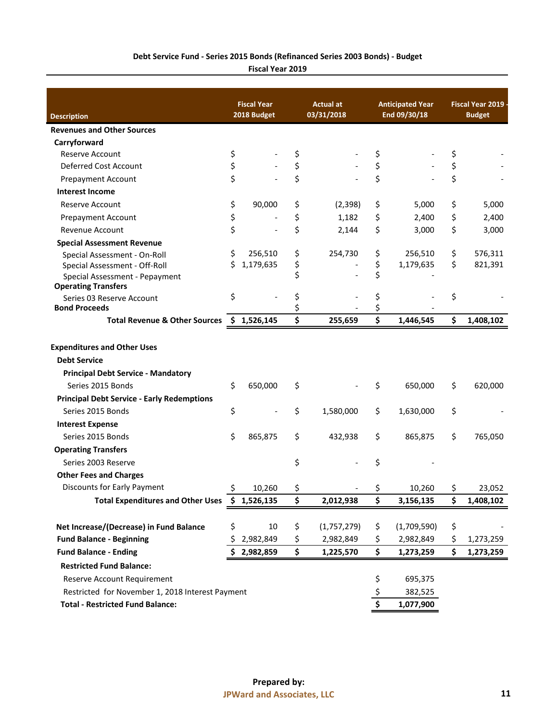## **Debt Service Fund - Series 2015 Bonds (Refinanced Series 2003 Bonds) - Budget**

|                                                              | <b>Fiscal Year</b> | <b>Actual at</b>  | <b>Anticipated Year</b> | Fiscal Year 2019 |               |  |
|--------------------------------------------------------------|--------------------|-------------------|-------------------------|------------------|---------------|--|
| <b>Description</b>                                           | 2018 Budget        | 03/31/2018        | End 09/30/18            |                  | <b>Budget</b> |  |
| <b>Revenues and Other Sources</b>                            |                    |                   |                         |                  |               |  |
| Carryforward                                                 |                    |                   |                         |                  |               |  |
| <b>Reserve Account</b>                                       | \$                 | \$                | \$                      | \$               |               |  |
| Deferred Cost Account                                        | \$                 | \$                | \$                      | \$               |               |  |
| <b>Prepayment Account</b>                                    | \$                 | \$                | \$                      | \$               |               |  |
| <b>Interest Income</b>                                       |                    |                   |                         |                  |               |  |
| Reserve Account                                              | \$<br>90,000       | \$<br>(2, 398)    | \$<br>5,000             | \$               | 5,000         |  |
| <b>Prepayment Account</b>                                    | \$                 | \$<br>1,182       | \$<br>2,400             | \$               | 2,400         |  |
| Revenue Account                                              | \$                 | \$<br>2,144       | \$<br>3,000             | \$               | 3,000         |  |
| <b>Special Assessment Revenue</b>                            |                    |                   |                         |                  |               |  |
| Special Assessment - On-Roll                                 | \$<br>256,510      | \$<br>254,730     | \$<br>256,510           | \$               | 576,311       |  |
| Special Assessment - Off-Roll                                | \$<br>1,179,635    | \$                | \$<br>1,179,635         | \$               | 821,391       |  |
| Special Assessment - Pepayment<br><b>Operating Transfers</b> |                    | \$                | \$                      |                  |               |  |
| Series 03 Reserve Account                                    | \$                 | \$                | \$                      | \$               |               |  |
| <b>Bond Proceeds</b>                                         |                    | \$                | \$                      |                  |               |  |
| <b>Total Revenue &amp; Other Sources</b>                     | \$1,526,145        | \$<br>255,659     | \$<br>1,446,545         | \$               | 1,408,102     |  |
| <b>Expenditures and Other Uses</b>                           |                    |                   |                         |                  |               |  |
| <b>Debt Service</b>                                          |                    |                   |                         |                  |               |  |
| <b>Principal Debt Service - Mandatory</b>                    |                    |                   |                         |                  |               |  |
| Series 2015 Bonds                                            | \$<br>650,000      | \$                | \$<br>650,000           | \$               | 620,000       |  |
| <b>Principal Debt Service - Early Redemptions</b>            |                    |                   |                         |                  |               |  |
| Series 2015 Bonds                                            | \$                 | \$<br>1,580,000   | \$<br>1,630,000         | \$               |               |  |
| <b>Interest Expense</b>                                      |                    |                   |                         |                  |               |  |
| Series 2015 Bonds                                            | \$<br>865,875      | \$<br>432,938     | \$<br>865,875           | \$               | 765,050       |  |
| <b>Operating Transfers</b>                                   |                    |                   |                         |                  |               |  |
| Series 2003 Reserve                                          |                    | \$                | \$                      |                  |               |  |
| <b>Other Fees and Charges</b>                                |                    |                   |                         |                  |               |  |
| <b>Discounts for Early Payment</b>                           | \$<br>10,260       | \$                | \$<br>10,260            | \$               | 23,052        |  |
| Total Expenditures and Other Uses \$ 1,526,135               |                    | \$<br>2,012,938   | \$<br>3,156,135         | \$               | 1,408,102     |  |
|                                                              |                    |                   |                         |                  |               |  |
| Net Increase/(Decrease) in Fund Balance                      | \$<br>10           | \$<br>(1,757,279) | \$<br>(1,709,590)       | \$               |               |  |
| <b>Fund Balance - Beginning</b>                              | \$<br>2,982,849    | \$<br>2,982,849   | \$<br>2,982,849         | \$               | 1,273,259     |  |
| <b>Fund Balance - Ending</b>                                 | 2,982,859          | \$<br>1,225,570   | \$<br>1,273,259         | \$               | 1,273,259     |  |
| <b>Restricted Fund Balance:</b>                              |                    |                   |                         |                  |               |  |
| Reserve Account Requirement                                  |                    |                   | \$<br>695,375           |                  |               |  |
| Restricted for November 1, 2018 Interest Payment             |                    |                   | \$<br>382,525           |                  |               |  |
| <b>Total - Restricted Fund Balance:</b>                      |                    |                   | \$<br>1,077,900         |                  |               |  |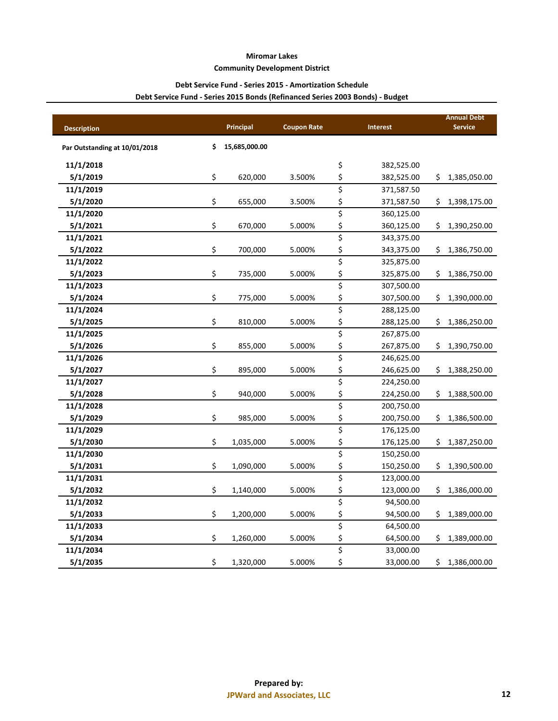#### **Community Development District**

## **Debt Service Fund - Series 2015 - Amortization Schedule**

## **Debt Service Fund - Series 2015 Bonds (Refinanced Series 2003 Bonds) - Budget**

|                               | Principal           | <b>Coupon Rate</b> |                                 | <b>Interest</b> |     | <b>Annual Debt</b><br><b>Service</b> |
|-------------------------------|---------------------|--------------------|---------------------------------|-----------------|-----|--------------------------------------|
| <b>Description</b>            |                     |                    |                                 |                 |     |                                      |
| Par Outstanding at 10/01/2018 | \$<br>15,685,000.00 |                    |                                 |                 |     |                                      |
| 11/1/2018                     |                     |                    | \$                              | 382,525.00      |     |                                      |
| 5/1/2019                      | \$<br>620,000       | 3.500%             | \$                              | 382,525.00      | \$  | 1,385,050.00                         |
| 11/1/2019                     |                     |                    | \$                              | 371,587.50      |     |                                      |
| 5/1/2020                      | \$<br>655,000       | 3.500%             | \$                              | 371,587.50      | Ş.  | 1,398,175.00                         |
| 11/1/2020                     |                     |                    | \$                              | 360,125.00      |     |                                      |
| 5/1/2021                      | \$<br>670,000       | 5.000%             | \$                              | 360,125.00      | \$. | 1,390,250.00                         |
| 11/1/2021                     |                     |                    | \$                              | 343,375.00      |     |                                      |
| 5/1/2022                      | \$<br>700,000       | 5.000%             | \$                              | 343,375.00      | \$  | 1,386,750.00                         |
| 11/1/2022                     |                     |                    | \$                              | 325,875.00      |     |                                      |
| 5/1/2023                      | \$<br>735,000       | 5.000%             | \$                              | 325,875.00      | \$. | 1,386,750.00                         |
| 11/1/2023                     |                     |                    | \$                              | 307,500.00      |     |                                      |
| 5/1/2024                      | \$<br>775,000       | 5.000%             | \$                              | 307,500.00      | \$  | 1,390,000.00                         |
| 11/1/2024                     |                     |                    | \$                              | 288,125.00      |     |                                      |
| 5/1/2025                      | \$<br>810,000       | 5.000%             | \$                              | 288,125.00      | \$  | 1,386,250.00                         |
| 11/1/2025                     |                     |                    | \$                              | 267,875.00      |     |                                      |
| 5/1/2026                      | \$<br>855,000       | 5.000%             | \$                              | 267,875.00      | \$  | 1,390,750.00                         |
| 11/1/2026                     |                     |                    | $\overline{\boldsymbol{\zeta}}$ | 246,625.00      |     |                                      |
| 5/1/2027                      | \$<br>895,000       | 5.000%             | \$                              | 246,625.00      | \$  | 1,388,250.00                         |
| 11/1/2027                     |                     |                    | \$                              | 224,250.00      |     |                                      |
| 5/1/2028                      | \$<br>940,000       | 5.000%             | \$                              | 224,250.00      | \$  | 1,388,500.00                         |
| 11/1/2028                     |                     |                    | \$                              | 200,750.00      |     |                                      |
| 5/1/2029                      | \$<br>985,000       | 5.000%             | \$                              | 200,750.00      | \$  | 1,386,500.00                         |
| 11/1/2029                     |                     |                    | \$                              | 176,125.00      |     |                                      |
| 5/1/2030                      | \$<br>1,035,000     | 5.000%             | \$                              | 176,125.00      | \$  | 1,387,250.00                         |
| 11/1/2030                     |                     |                    | \$                              | 150,250.00      |     |                                      |
| 5/1/2031                      | \$<br>1,090,000     | 5.000%             | \$                              | 150,250.00      | \$  | 1,390,500.00                         |
| 11/1/2031                     |                     |                    | \$                              | 123,000.00      |     |                                      |
| 5/1/2032                      | \$<br>1,140,000     | 5.000%             | \$                              | 123,000.00      | \$. | 1,386,000.00                         |
| 11/1/2032                     |                     |                    | \$                              | 94,500.00       |     |                                      |
| 5/1/2033                      | \$<br>1,200,000     | 5.000%             | \$                              | 94,500.00       | \$  | 1,389,000.00                         |
| 11/1/2033                     |                     |                    | \$                              | 64,500.00       |     |                                      |
| 5/1/2034                      | \$<br>1,260,000     | 5.000%             | \$                              | 64,500.00       | S   | 1,389,000.00                         |
| 11/1/2034                     |                     |                    | \$                              | 33,000.00       |     |                                      |
| 5/1/2035                      | \$<br>1,320,000     | 5.000%             | \$                              | 33,000.00       | \$  | 1,386,000.00                         |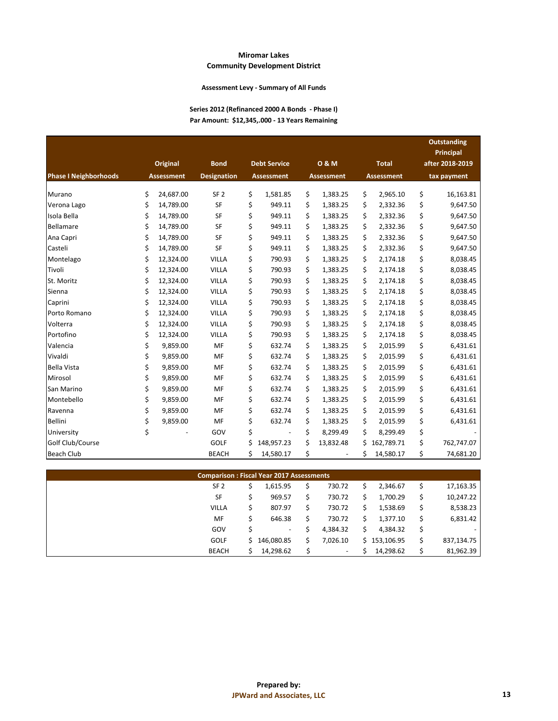#### **Assessment Levy - Summary of All Funds**

#### **Series 2012 (Refinanced 2000 A Bonds - Phase I) Par Amount: \$12,345,.000 - 13 Years Remaining**

|                              | Original          | <b>Bond</b>        |    | <b>Debt Service</b> | 0 & M             |    | <b>Total</b>      | <b>Outstanding</b><br><b>Principal</b><br>after 2018-2019 |
|------------------------------|-------------------|--------------------|----|---------------------|-------------------|----|-------------------|-----------------------------------------------------------|
| <b>Phase I Neighborhoods</b> | <b>Assessment</b> | <b>Designation</b> |    | <b>Assessment</b>   | <b>Assessment</b> |    | <b>Assessment</b> | tax payment                                               |
| Murano                       | \$<br>24,687.00   | SF <sub>2</sub>    | \$ | 1,581.85            | \$<br>1,383.25    | \$ | 2,965.10          | \$<br>16,163.81                                           |
| Verona Lago                  | \$<br>14,789.00   | SF                 | \$ | 949.11              | \$<br>1,383.25    | \$ | 2,332.36          | \$<br>9,647.50                                            |
| Isola Bella                  | \$<br>14,789.00   | SF                 | \$ | 949.11              | \$<br>1,383.25    | \$ | 2,332.36          | \$<br>9,647.50                                            |
| Bellamare                    | \$<br>14,789.00   | SF                 | \$ | 949.11              | \$<br>1,383.25    | \$ | 2,332.36          | \$<br>9,647.50                                            |
| Ana Capri                    | \$<br>14,789.00   | SF                 | \$ | 949.11              | \$<br>1,383.25    | \$ | 2,332.36          | \$<br>9,647.50                                            |
| Casteli                      | \$<br>14,789.00   | SF                 | \$ | 949.11              | \$<br>1,383.25    | \$ | 2,332.36          | \$<br>9,647.50                                            |
| Montelago                    | \$<br>12,324.00   | <b>VILLA</b>       | \$ | 790.93              | \$<br>1,383.25    | \$ | 2,174.18          | \$<br>8,038.45                                            |
| Tivoli                       | \$<br>12,324.00   | <b>VILLA</b>       | \$ | 790.93              | \$<br>1,383.25    | \$ | 2,174.18          | \$<br>8,038.45                                            |
| St. Moritz                   | \$<br>12,324.00   | <b>VILLA</b>       | \$ | 790.93              | \$<br>1,383.25    | \$ | 2,174.18          | \$<br>8,038.45                                            |
| Sienna                       | \$<br>12,324.00   | <b>VILLA</b>       | \$ | 790.93              | \$<br>1,383.25    | \$ | 2,174.18          | \$<br>8,038.45                                            |
| Caprini                      | \$<br>12,324.00   | <b>VILLA</b>       | \$ | 790.93              | \$<br>1,383.25    | \$ | 2,174.18          | \$<br>8,038.45                                            |
| Porto Romano                 | \$<br>12,324.00   | <b>VILLA</b>       | \$ | 790.93              | \$<br>1,383.25    | \$ | 2,174.18          | \$<br>8,038.45                                            |
| Volterra                     | \$<br>12,324.00   | <b>VILLA</b>       | \$ | 790.93              | \$<br>1,383.25    | \$ | 2,174.18          | \$<br>8,038.45                                            |
| Portofino                    | \$<br>12,324.00   | <b>VILLA</b>       | \$ | 790.93              | \$<br>1,383.25    | \$ | 2,174.18          | \$<br>8,038.45                                            |
| Valencia                     | \$<br>9,859.00    | MF                 | \$ | 632.74              | \$<br>1,383.25    | \$ | 2,015.99          | \$<br>6,431.61                                            |
| Vivaldi                      | \$<br>9,859.00    | MF                 | \$ | 632.74              | \$<br>1,383.25    | \$ | 2,015.99          | \$<br>6,431.61                                            |
| <b>Bella Vista</b>           | \$<br>9,859.00    | MF                 | \$ | 632.74              | \$<br>1,383.25    | \$ | 2,015.99          | \$<br>6,431.61                                            |
| Mirosol                      | \$<br>9,859.00    | MF                 | \$ | 632.74              | \$<br>1,383.25    | \$ | 2,015.99          | \$<br>6,431.61                                            |
| San Marino                   | \$<br>9,859.00    | MF                 | \$ | 632.74              | \$<br>1,383.25    | \$ | 2,015.99          | \$<br>6,431.61                                            |
| Montebello                   | \$<br>9,859.00    | MF                 | \$ | 632.74              | \$<br>1,383.25    | \$ | 2,015.99          | \$<br>6,431.61                                            |
| Ravenna                      | \$<br>9,859.00    | MF                 | \$ | 632.74              | \$<br>1,383.25    | \$ | 2,015.99          | \$<br>6,431.61                                            |
| <b>Bellini</b>               | \$<br>9,859.00    | MF                 | \$ | 632.74              | \$<br>1,383.25    | \$ | 2,015.99          | \$<br>6,431.61                                            |
| University                   | \$                | GOV                | \$ |                     | \$<br>8,299.49    | \$ | 8,299.49          | \$                                                        |
| Golf Club/Course             |                   | GOLF               | Ś  | 148,957.23          | \$<br>13,832.48   | Ś  | 162,789.71        | \$<br>762,747.07                                          |
| <b>Beach Club</b>            |                   | <b>BEACH</b>       | Ś  | 14,580.17           | \$                | \$ | 14,580.17         | \$<br>74,681.20                                           |

| <b>Comparison: Fiscal Year 2017 Assessments</b> |                 |           |                          |  |          |  |              |    |                          |  |  |  |  |
|-------------------------------------------------|-----------------|-----------|--------------------------|--|----------|--|--------------|----|--------------------------|--|--|--|--|
|                                                 | SF <sub>2</sub> | 17,163.35 |                          |  |          |  |              |    |                          |  |  |  |  |
|                                                 | SF              |           | 969.57                   |  | 730.72   |  | 1,700.29     | \$ | 10,247.22                |  |  |  |  |
|                                                 | <b>VILLA</b>    |           | 807.97                   |  | 730.72   |  | 1,538.69     | \$ | 8,538.23                 |  |  |  |  |
|                                                 | MF              |           | 646.38                   |  | 730.72   |  | 1,377.10     | \$ | 6,831.42                 |  |  |  |  |
|                                                 | GOV             |           | $\overline{\phantom{a}}$ |  | 4,384.32 |  | 4.384.32     | \$ | $\overline{\phantom{a}}$ |  |  |  |  |
|                                                 | <b>GOLF</b>     |           | 146,080.85               |  | 7,026.10 |  | \$153,106.95 | \$ | 837,134.75               |  |  |  |  |
|                                                 | <b>BEACH</b>    |           | 14,298.62                |  | $\sim$   |  | 14,298.62    |    | 81,962.39                |  |  |  |  |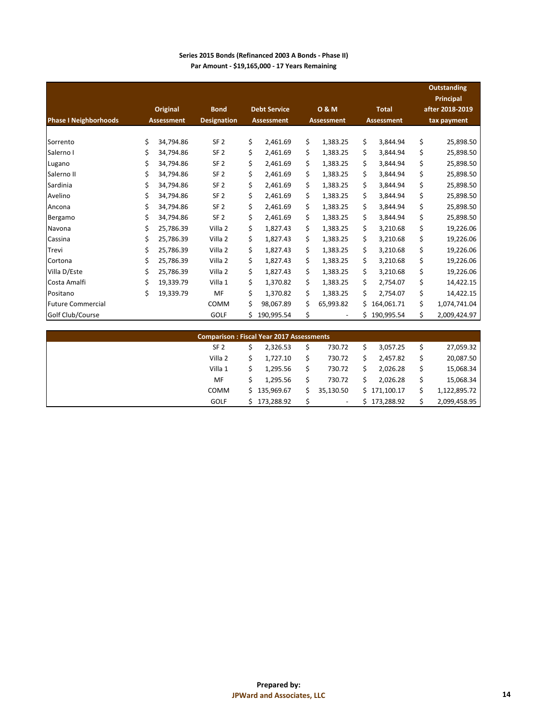| Series 2015 Bonds (Refinanced 2003 A Bonds - Phase II) |
|--------------------------------------------------------|
| Par Amount - \$19,165,000 - 17 Years Remaining         |

|                              | Original          | <b>Bond</b>        |    | <b>Debt Service</b> |    | 0 & M             |     | <b>Total</b>      | <b>Outstanding</b><br><b>Principal</b><br>after 2018-2019 |
|------------------------------|-------------------|--------------------|----|---------------------|----|-------------------|-----|-------------------|-----------------------------------------------------------|
| <b>Phase I Neighborhoods</b> | <b>Assessment</b> | <b>Designation</b> |    | <b>Assessment</b>   |    | <b>Assessment</b> |     | <b>Assessment</b> | tax payment                                               |
|                              |                   |                    |    |                     |    |                   |     |                   |                                                           |
| Sorrento                     | \$<br>34,794.86   | SF <sub>2</sub>    | \$ | 2,461.69            | \$ | 1,383.25          | \$  | 3,844.94          | \$<br>25,898.50                                           |
| Salerno I                    | \$<br>34,794.86   | SF <sub>2</sub>    | \$ | 2,461.69            | Ś. | 1,383.25          | \$  | 3,844.94          | \$<br>25,898.50                                           |
| Lugano                       | \$<br>34,794.86   | SF <sub>2</sub>    | \$ | 2,461.69            | \$ | 1,383.25          | \$. | 3,844.94          | \$<br>25,898.50                                           |
| Salerno II                   | \$<br>34,794.86   | SF <sub>2</sub>    | \$ | 2,461.69            | \$ | 1,383.25          | \$  | 3,844.94          | \$<br>25,898.50                                           |
| Sardinia                     | \$<br>34.794.86   | SF <sub>2</sub>    | \$ | 2,461.69            | \$ | 1,383.25          | \$  | 3,844.94          | \$<br>25,898.50                                           |
| Avelino                      | \$<br>34,794.86   | SF <sub>2</sub>    | \$ | 2,461.69            | \$ | 1,383.25          | \$. | 3,844.94          | \$<br>25,898.50                                           |
| Ancona                       | \$<br>34,794.86   | SF <sub>2</sub>    | \$ | 2,461.69            | \$ | 1,383.25          | \$. | 3,844.94          | \$<br>25,898.50                                           |
| Bergamo                      | \$<br>34.794.86   | SF <sub>2</sub>    | \$ | 2.461.69            | \$ | 1,383.25          | \$  | 3.844.94          | \$<br>25,898.50                                           |
| Navona                       | \$<br>25,786.39   | Villa 2            | \$ | 1,827.43            | \$ | 1,383.25          | \$  | 3,210.68          | \$<br>19,226.06                                           |
| Cassina                      | \$<br>25,786.39   | Villa 2            | \$ | 1,827.43            | \$ | 1,383.25          | \$  | 3,210.68          | \$<br>19,226.06                                           |
| Trevi                        | \$<br>25.786.39   | Villa 2            | \$ | 1,827.43            | \$ | 1,383.25          | \$  | 3,210.68          | \$<br>19,226.06                                           |
| Cortona                      | \$<br>25,786.39   | Villa 2            | \$ | 1,827.43            | \$ | 1,383.25          | \$  | 3,210.68          | \$<br>19,226.06                                           |
| Villa D/Este                 | \$<br>25.786.39   | Villa 2            | \$ | 1.827.43            | \$ | 1,383.25          | \$  | 3,210.68          | \$<br>19,226.06                                           |
| Costa Amalfi                 | \$<br>19,339.79   | Villa 1            | \$ | 1,370.82            | \$ | 1,383.25          | \$  | 2,754.07          | \$<br>14,422.15                                           |
| Positano                     | \$<br>19,339.79   | MF                 | \$ | 1,370.82            | \$ | 1,383.25          | \$  | 2,754.07          | \$<br>14,422.15                                           |
| <b>Future Commercial</b>     |                   | <b>COMM</b>        | \$ | 98,067.89           | \$ | 65,993.82         | Ś.  | 164,061.71        | \$<br>1,074,741.04                                        |
| Golf Club/Course             |                   | GOLF               | Ś. | 190,995.54          | \$ |                   | Ś   | 190,995.54        | \$<br>2,009,424.97                                        |

| <b>Comparison: Fiscal Year 2017 Assessments</b> |                                                                |              |  |                          |    |              |  |              |  |  |  |  |  |
|-------------------------------------------------|----------------------------------------------------------------|--------------|--|--------------------------|----|--------------|--|--------------|--|--|--|--|--|
|                                                 | 27,059.32<br>2,326.53<br>730.72<br>SF <sub>2</sub><br>3.057.25 |              |  |                          |    |              |  |              |  |  |  |  |  |
|                                                 | Villa 2                                                        | 1.727.10     |  | 730.72                   | S. | 2.457.82     |  | 20,087.50    |  |  |  |  |  |
|                                                 | Villa 1<br>1,295.56<br>730.72<br>2.026.28                      |              |  |                          |    |              |  |              |  |  |  |  |  |
|                                                 | MF                                                             | 1.295.56     |  | 730.72                   |    | 2.026.28     |  | 15,068.34    |  |  |  |  |  |
|                                                 | COMM                                                           | \$135,969.67 |  | 35,130.50                |    | \$171,100.17 |  | 1,122,895.72 |  |  |  |  |  |
|                                                 | <b>GOLF</b>                                                    | 173,288.92   |  | $\overline{\phantom{a}}$ |    | 173,288.92   |  | 2,099,458.95 |  |  |  |  |  |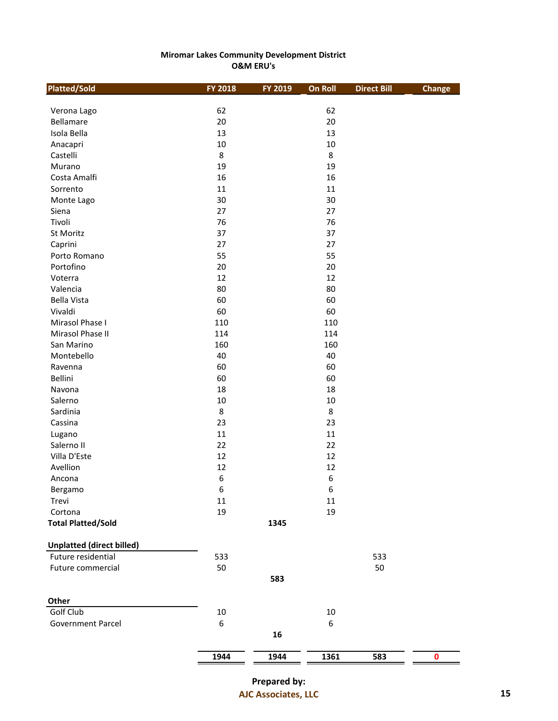## **Miromar Lakes Community Development District O&M ERU's**

| <b>Platted/Sold</b>              | FY 2018 | FY 2019 | <b>On Roll</b>   | <b>Direct Bill</b> | <b>Change</b>    |
|----------------------------------|---------|---------|------------------|--------------------|------------------|
|                                  |         |         |                  |                    |                  |
| Verona Lago                      | 62      |         | 62               |                    |                  |
| Bellamare                        | 20      |         | 20               |                    |                  |
| Isola Bella                      | 13      |         | 13               |                    |                  |
| Anacapri                         | $10\,$  |         | $10\,$<br>8      |                    |                  |
| Castelli                         | 8       |         |                  |                    |                  |
| Murano                           | 19      |         | 19               |                    |                  |
| Costa Amalfi                     | 16      |         | 16               |                    |                  |
| Sorrento                         | 11      |         | $11\,$           |                    |                  |
| Monte Lago                       | 30      |         | 30               |                    |                  |
| Siena                            | 27      |         | 27               |                    |                  |
| Tivoli                           | 76      |         | 76               |                    |                  |
| St Moritz                        | 37      |         | 37               |                    |                  |
| Caprini                          | 27      |         | 27               |                    |                  |
| Porto Romano                     | 55      |         | 55               |                    |                  |
| Portofino                        | 20      |         | 20               |                    |                  |
| Voterra                          | 12      |         | 12               |                    |                  |
| Valencia                         | 80      |         | 80               |                    |                  |
| <b>Bella Vista</b>               | 60      |         | 60               |                    |                  |
| Vivaldi                          | 60      |         | 60               |                    |                  |
| Mirasol Phase I                  | 110     |         | 110              |                    |                  |
| Mirasol Phase II                 | 114     |         | 114              |                    |                  |
| San Marino                       | 160     |         | 160              |                    |                  |
| Montebello                       | 40      |         | 40               |                    |                  |
| Ravenna                          | 60      |         | 60               |                    |                  |
| Bellini                          | 60      |         | 60               |                    |                  |
| Navona                           | 18      |         | 18               |                    |                  |
| Salerno                          | $10\,$  |         | $10\,$           |                    |                  |
| Sardinia                         | 8       |         | 8                |                    |                  |
| Cassina                          | 23      |         | 23               |                    |                  |
| Lugano                           | 11      |         | 11               |                    |                  |
| Salerno II                       | 22      |         | 22               |                    |                  |
| Villa D'Este                     | 12      |         | 12               |                    |                  |
| Avellion                         | 12      |         | 12               |                    |                  |
| Ancona                           | 6       |         | $\boldsymbol{6}$ |                    |                  |
| Bergamo                          | 6       |         | 6                |                    |                  |
| Trevi                            | $11\,$  |         | 11               |                    |                  |
| Cortona                          | 19      |         | 19               |                    |                  |
| <b>Total Platted/Sold</b>        |         | 1345    |                  |                    |                  |
| <b>Unplatted (direct billed)</b> |         |         |                  |                    |                  |
| Future residential               | 533     |         |                  | 533                |                  |
| Future commercial                | 50      |         |                  | 50                 |                  |
|                                  |         | 583     |                  |                    |                  |
| Other                            |         |         |                  |                    |                  |
| Golf Club                        | $10\,$  |         | 10               |                    |                  |
| Government Parcel                | 6       |         | 6                |                    |                  |
|                                  |         | 16      |                  |                    |                  |
|                                  | 1944    | 1944    | 1361             | 583                | $\boldsymbol{0}$ |
|                                  |         |         |                  |                    |                  |

**Prepared by: AJC Associates, LLC 15**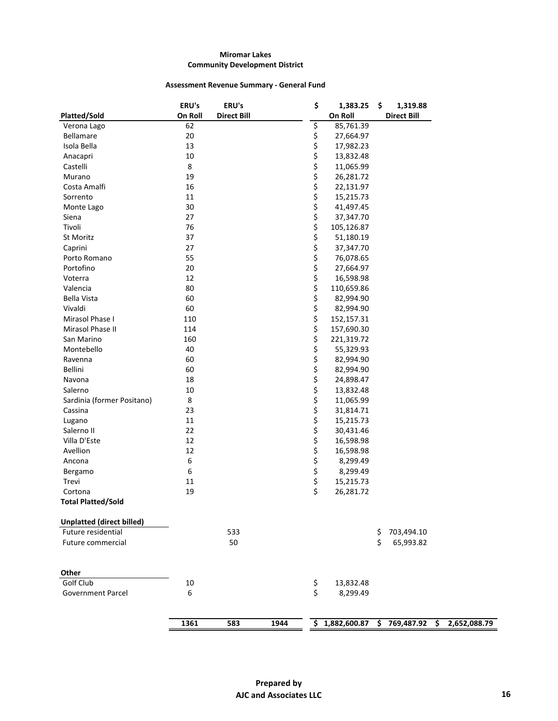## **Assessment Revenue Summary - General Fund**

|                                  | ERU's            | ERU's              |      | \$             | 1,383.25                                   | \$<br>1,319.88     |  |
|----------------------------------|------------------|--------------------|------|----------------|--------------------------------------------|--------------------|--|
| Platted/Sold                     | On Roll          | <b>Direct Bill</b> |      |                | On Roll                                    | <b>Direct Bill</b> |  |
| Verona Lago                      | 62               |                    |      | \$             | 85,761.39                                  |                    |  |
| <b>Bellamare</b>                 | 20               |                    |      | \$             | 27,664.97                                  |                    |  |
| Isola Bella                      | 13               |                    |      | \$             | 17,982.23                                  |                    |  |
| Anacapri                         | $10\,$           |                    |      | \$             | 13,832.48                                  |                    |  |
| Castelli                         | 8                |                    |      |                | 11,065.99                                  |                    |  |
| Murano                           | 19               |                    |      | \$<br>\$<br>\$ | 26,281.72                                  |                    |  |
| Costa Amalfi                     | 16               |                    |      |                | 22,131.97                                  |                    |  |
| Sorrento                         | 11               |                    |      | \$             | 15,215.73                                  |                    |  |
| Monte Lago                       | 30               |                    |      | \$             | 41,497.45                                  |                    |  |
| Siena                            | 27               |                    |      | \$             | 37,347.70                                  |                    |  |
| Tivoli                           | 76               |                    |      | \$             | 105,126.87                                 |                    |  |
| St Moritz                        | 37               |                    |      |                | 51,180.19                                  |                    |  |
| Caprini                          | 27               |                    |      | \$<br>\$       | 37,347.70                                  |                    |  |
| Porto Romano                     | 55               |                    |      |                | 76,078.65                                  |                    |  |
| Portofino                        | 20               |                    |      |                | 27,664.97                                  |                    |  |
| Voterra                          | 12               |                    |      | \$<br>\$\$     | 16,598.98                                  |                    |  |
| Valencia                         | 80               |                    |      | \$             | 110,659.86                                 |                    |  |
| <b>Bella Vista</b>               | 60               |                    |      | \$             | 82,994.90                                  |                    |  |
| Vivaldi                          | 60               |                    |      | \$             | 82,994.90                                  |                    |  |
| Mirasol Phase I                  | 110              |                    |      | \$             | 152,157.31                                 |                    |  |
| Mirasol Phase II                 | 114              |                    |      |                | 157,690.30                                 |                    |  |
| San Marino                       | 160              |                    |      | \$<br>\$       | 221,319.72                                 |                    |  |
| Montebello                       | 40               |                    |      | \$             | 55,329.93                                  |                    |  |
| Ravenna                          | 60               |                    |      |                | 82,994.90                                  |                    |  |
| Bellini                          | 60               |                    |      | \$<br>\$       | 82,994.90                                  |                    |  |
| Navona                           | 18               |                    |      | \$             | 24,898.47                                  |                    |  |
| Salerno                          | 10               |                    |      |                | 13,832.48                                  |                    |  |
| Sardinia (former Positano)       | 8                |                    |      | \$<br>\$<br>\$ | 11,065.99                                  |                    |  |
| Cassina                          | 23               |                    |      |                | 31,814.71                                  |                    |  |
| Lugano                           | 11               |                    |      |                | 15,215.73                                  |                    |  |
| Salerno II                       | 22               |                    |      | \$<br>\$       | 30,431.46                                  |                    |  |
| Villa D'Este                     | 12               |                    |      | \$             | 16,598.98                                  |                    |  |
| Avellion                         | 12               |                    |      |                | 16,598.98                                  |                    |  |
| Ancona                           | $\boldsymbol{6}$ |                    |      | \$<br>\$       | 8,299.49                                   |                    |  |
| Bergamo                          | $\boldsymbol{6}$ |                    |      | \$             | 8,299.49                                   |                    |  |
| Trevi                            | 11               |                    |      | \$             | 15,215.73                                  |                    |  |
| Cortona                          | 19               |                    |      | \$             | 26,281.72                                  |                    |  |
| <b>Total Platted/Sold</b>        |                  |                    |      |                |                                            |                    |  |
|                                  |                  |                    |      |                |                                            |                    |  |
| <b>Unplatted (direct billed)</b> |                  |                    |      |                |                                            |                    |  |
| Future residential               |                  | 533                |      |                |                                            | \$<br>703,494.10   |  |
| Future commercial                |                  | 50                 |      |                |                                            | \$<br>65,993.82    |  |
|                                  |                  |                    |      |                |                                            |                    |  |
| Other                            |                  |                    |      |                |                                            |                    |  |
| Golf Club                        | 10               |                    |      | \$             | 13,832.48                                  |                    |  |
| Government Parcel                | 6                |                    |      | \$             | 8,299.49                                   |                    |  |
|                                  |                  |                    |      |                |                                            |                    |  |
|                                  | 1361             | 583                | 1944 |                | \$1,882,600.87 \$769,487.92 \$2,652,088.79 |                    |  |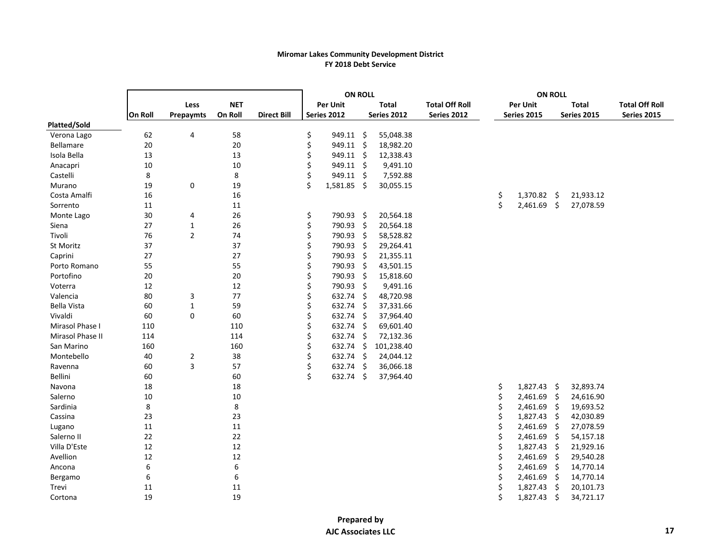#### **Miromar Lakes Community Development District FY 2018 Debt Service**

|                    |         |                |            |                    | <b>ON ROLL</b> |                  |              | <b>ON ROLL</b>        |    |               |    |                    |                       |
|--------------------|---------|----------------|------------|--------------------|----------------|------------------|--------------|-----------------------|----|---------------|----|--------------------|-----------------------|
|                    |         | Less           | <b>NET</b> |                    |                | <b>Per Unit</b>  | <b>Total</b> | <b>Total Off Roll</b> |    | Per Unit      |    | <b>Total</b>       | <b>Total Off Roll</b> |
|                    | On Roll | Prepaymts      | On Roll    | <b>Direct Bill</b> |                | Series 2012      | Series 2012  | Series 2012           |    | Series 2015   |    | <b>Series 2015</b> | Series 2015           |
| Platted/Sold       |         |                |            |                    |                |                  |              |                       |    |               |    |                    |                       |
| Verona Lago        | 62      | 4              | 58         |                    | \$             | $949.11 \quad $$ | 55,048.38    |                       |    |               |    |                    |                       |
| Bellamare          | $20\,$  |                | 20         |                    | \$             | 949.11 \$        | 18,982.20    |                       |    |               |    |                    |                       |
| Isola Bella        | 13      |                | 13         |                    | Ś              | 949.11 \$        | 12,338.43    |                       |    |               |    |                    |                       |
| Anacapri           | $10\,$  |                | 10         |                    |                | 949.11 \$        | 9,491.10     |                       |    |               |    |                    |                       |
| Castelli           | 8       |                | 8          |                    |                | 949.11 \$        | 7,592.88     |                       |    |               |    |                    |                       |
| Murano             | 19      | $\pmb{0}$      | 19         |                    | Ś              | $1,581.85$ \$    | 30,055.15    |                       |    |               |    |                    |                       |
| Costa Amalfi       | 16      |                | 16         |                    |                |                  |              |                       | \$ | $1,370.82$ \$ |    | 21,933.12          |                       |
| Sorrento           | 11      |                | 11         |                    |                |                  |              |                       | \$ | $2,461.69$ \$ |    | 27,078.59          |                       |
| Monte Lago         | $30\,$  | 4              | 26         |                    | \$             | 790.93 \$        | 20,564.18    |                       |    |               |    |                    |                       |
| Siena              | 27      | $\mathbf{1}$   | 26         |                    | \$             | 790.93 \$        | 20,564.18    |                       |    |               |    |                    |                       |
| Tivoli             | 76      | $\overline{2}$ | 74         |                    | \$             | 790.93 \$        | 58,528.82    |                       |    |               |    |                    |                       |
| St Moritz          | 37      |                | 37         |                    | Ś              | 790.93 \$        | 29,264.41    |                       |    |               |    |                    |                       |
| Caprini            | 27      |                | 27         |                    |                | 790.93 \$        | 21,355.11    |                       |    |               |    |                    |                       |
| Porto Romano       | 55      |                | 55         |                    |                | 790.93 \$        | 43,501.15    |                       |    |               |    |                    |                       |
| Portofino          | 20      |                | 20         |                    | \$             | 790.93 \$        | 15,818.60    |                       |    |               |    |                    |                       |
| Voterra            | 12      |                | 12         |                    |                | 790.93 \$        | 9,491.16     |                       |    |               |    |                    |                       |
| Valencia           | 80      | 3              | 77         |                    | Ś              | 632.74 \$        | 48,720.98    |                       |    |               |    |                    |                       |
| <b>Bella Vista</b> | 60      | $\mathbf{1}$   | 59         |                    |                | 632.74 \$        | 37,331.66    |                       |    |               |    |                    |                       |
| Vivaldi            | 60      | $\mathbf 0$    | 60         |                    |                | 632.74 \$        | 37,964.40    |                       |    |               |    |                    |                       |
| Mirasol Phase I    | 110     |                | 110        |                    | Ś              | 632.74 \$        | 69,601.40    |                       |    |               |    |                    |                       |
| Mirasol Phase II   | 114     |                | 114        |                    | \$             | 632.74 \$        | 72,132.36    |                       |    |               |    |                    |                       |
| San Marino         | 160     |                | 160        |                    |                | 632.74 \$        | 101,238.40   |                       |    |               |    |                    |                       |
| Montebello         | 40      | $\overline{2}$ | 38         |                    | \$             | $632.74$ \$      | 24,044.12    |                       |    |               |    |                    |                       |
| Ravenna            | 60      | 3              | 57         |                    | Ś              | 632.74 \$        | 36,066.18    |                       |    |               |    |                    |                       |
| Bellini            | 60      |                | 60         |                    | \$             | 632.74 \$        | 37,964.40    |                       |    |               |    |                    |                       |
| Navona             | 18      |                | 18         |                    |                |                  |              |                       | \$ | 1,827.43 \$   |    | 32,893.74          |                       |
| Salerno            | 10      |                | 10         |                    |                |                  |              |                       | \$ | $2,461.69$ \$ |    | 24,616.90          |                       |
| Sardinia           | 8       |                | $\bf 8$    |                    |                |                  |              |                       | \$ | 2,461.69 \$   |    | 19,693.52          |                       |
| Cassina            | 23      |                | 23         |                    |                |                  |              |                       |    | $1,827.43$ \$ |    | 42,030.89          |                       |
| Lugano             | 11      |                | 11         |                    |                |                  |              |                       | \$ | 2,461.69 \$   |    | 27,078.59          |                       |
| Salerno II         | 22      |                | 22         |                    |                |                  |              |                       | \$ | $2,461.69$ \$ |    | 54,157.18          |                       |
| Villa D'Este       | 12      |                | 12         |                    |                |                  |              |                       |    | $1,827.43$ \$ |    | 21,929.16          |                       |
| Avellion           | 12      |                | 12         |                    |                |                  |              |                       | Ś  | $2,461.69$ \$ |    | 29,540.28          |                       |
| Ancona             | 6       |                | 6          |                    |                |                  |              |                       |    | 2,461.69 \$   |    | 14,770.14          |                       |
| Bergamo            | 6       |                | 6          |                    |                |                  |              |                       | Ś  | $2,461.69$ \$ |    | 14,770.14          |                       |
| Trevi              | 11      |                | 11         |                    |                |                  |              |                       | \$ | $1,827.43$ \$ |    | 20,101.73          |                       |
| Cortona            | 19      |                | 19         |                    |                |                  |              |                       | \$ | 1,827.43      | \$ | 34,721.17          |                       |